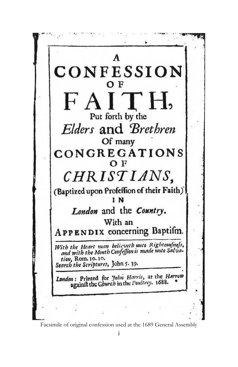

Facsimile of original confession used at the 1689 General Assembly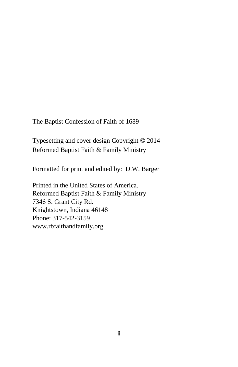The Baptist Confession of Faith of 1689

Typesetting and cover design Copyright © 2014 Reformed Baptist Faith & Family Ministry

Formatted for print and edited by: D.W. Barger

Printed in the United States of America. Reformed Baptist Faith & Family Ministry 7346 S. Grant City Rd. Knightstown, Indiana 46148 Phone: 317-542-3159 www.rbfaithandfamily.org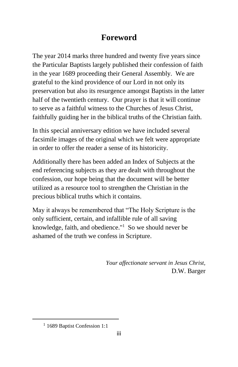# **Foreword**

The year 2014 marks three hundred and twenty five years since the Particular Baptists largely published their confession of faith in the year 1689 proceeding their General Assembly. We are grateful to the kind providence of our Lord in not only its preservation but also its resurgence amongst Baptists in the latter half of the twentieth century. Our prayer is that it will continue to serve as a faithful witness to the Churches of Jesus Christ, faithfully guiding her in the biblical truths of the Christian faith.

In this special anniversary edition we have included several facsimile images of the original which we felt were appropriate in order to offer the reader a sense of its historicity.

Additionally there has been added an Index of Subjects at the end referencing subjects as they are dealt with throughout the confession, our hope being that the document will be better utilized as a resource tool to strengthen the Christian in the precious biblical truths which it contains.

May it always be remembered that "The Holy Scripture is the only sufficient, certain, and infallible rule of all saving knowledge, faith, and obedience."<sup>1</sup> So we should never be ashamed of the truth we confess in Scripture.

> *Your affectionate servant in Jesus Christ,* D.W. Barger

 $\overline{\phantom{a}}$ 

<sup>&</sup>lt;sup>1</sup> 1689 Baptist Confession 1:1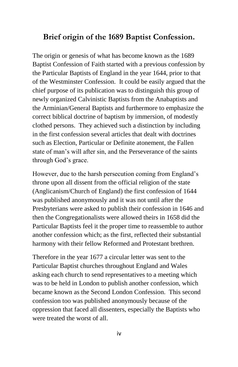#### **Brief origin of the 1689 Baptist Confession.**

The origin or genesis of what has become known as the 1689 Baptist Confession of Faith started with a previous confession by the Particular Baptists of England in the year 1644, prior to that of the Westminster Confession. It could be easily argued that the chief purpose of its publication was to distinguish this group of newly organized Calvinistic Baptists from the Anabaptists and the Arminian/General Baptists and furthermore to emphasize the correct biblical doctrine of baptism by immersion, of modestly clothed persons. They achieved such a distinction by including in the first confession several articles that dealt with doctrines such as Election, Particular or Definite atonement, the Fallen state of man's will after sin, and the Perseverance of the saints through God's grace.

However, due to the harsh persecution coming from England's throne upon all dissent from the official religion of the state (Anglicanism/Church of England) the first confession of 1644 was published anonymously and it was not until after the Presbyterians were asked to publish their confession in 1646 and then the Congregationalists were allowed theirs in 1658 did the Particular Baptists feel it the proper time to reassemble to author another confession which; as the first, reflected their substantial harmony with their fellow Reformed and Protestant brethren.

Therefore in the year 1677 a circular letter was sent to the Particular Baptist churches throughout England and Wales asking each church to send representatives to a meeting which was to be held in London to publish another confession, which became known as the Second London Confession. This second confession too was published anonymously because of the oppression that faced all dissenters, especially the Baptists who were treated the worst of all.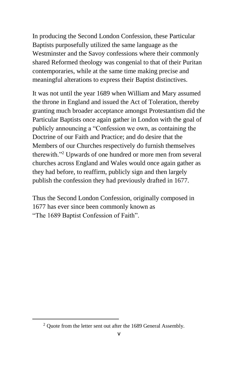In producing the Second London Confession, these Particular Baptists purposefully utilized the same language as the Westminster and the Savoy confessions where their commonly shared Reformed theology was congenial to that of their Puritan contemporaries, while at the same time making precise and meaningful alterations to express their Baptist distinctives.

It was not until the year 1689 when William and Mary assumed the throne in England and issued the Act of Toleration, thereby granting much broader acceptance amongst Protestantism did the Particular Baptists once again gather in London with the goal of publicly announcing a "Confession we own, as containing the Doctrine of our Faith and Practice; and do desire that the Members of our Churches respectively do furnish themselves therewith."<sup>2</sup> Upwards of one hundred or more men from several churches across England and Wales would once again gather as they had before, to reaffirm, publicly sign and then largely publish the confession they had previously drafted in 1677.

Thus the Second London Confession, originally composed in 1677 has ever since been commonly known as "The 1689 Baptist Confession of Faith".

 $\overline{\phantom{a}}$ 

<sup>2</sup> Quote from the letter sent out after the 1689 General Assembly.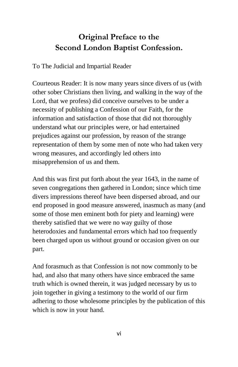## **Original Preface to the Second London Baptist Confession.**

To The Judicial and Impartial Reader

Courteous Reader: It is now many years since divers of us (with other sober Christians then living, and walking in the way of the Lord, that we profess) did conceive ourselves to be under a necessity of publishing a Confession of our Faith, for the information and satisfaction of those that did not thoroughly understand what our principles were, or had entertained prejudices against our profession, by reason of the strange representation of them by some men of note who had taken very wrong measures, and accordingly led others into misapprehension of us and them.

And this was first put forth about the year 1643, in the name of seven congregations then gathered in London; since which time divers impressions thereof have been dispersed abroad, and our end proposed in good measure answered, inasmuch as many (and some of those men eminent both for piety and learning) were thereby satisfied that we were no way guilty of those heterodoxies and fundamental errors which had too frequently been charged upon us without ground or occasion given on our part.

And forasmuch as that Confession is not now commonly to be had, and also that many others have since embraced the same truth which is owned therein, it was judged necessary by us to join together in giving a testimony to the world of our firm adhering to those wholesome principles by the publication of this which is now in your hand.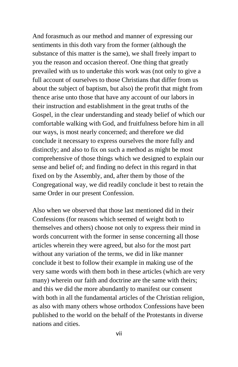And forasmuch as our method and manner of expressing our sentiments in this doth vary from the former (although the substance of this matter is the same), we shall freely impart to you the reason and occasion thereof. One thing that greatly prevailed with us to undertake this work was (not only to give a full account of ourselves to those Christians that differ from us about the subject of baptism, but also) the profit that might from thence arise unto those that have any account of our labors in their instruction and establishment in the great truths of the Gospel, in the clear understanding and steady belief of which our comfortable walking with God, and fruitfulness before him in all our ways, is most nearly concerned; and therefore we did conclude it necessary to express ourselves the more fully and distinctly; and also to fix on such a method as might be most comprehensive of those things which we designed to explain our sense and belief of; and finding no defect in this regard in that fixed on by the Assembly, and, after them by those of the Congregational way, we did readily conclude it best to retain the same Order in our present Confession.

Also when we observed that those last mentioned did in their Confessions (for reasons which seemed of weight both to themselves and others) choose not only to express their mind in words concurrent with the former in sense concerning all those articles wherein they were agreed, but also for the most part without any variation of the terms, we did in like manner conclude it best to follow their example in making use of the very same words with them both in these articles (which are very many) wherein our faith and doctrine are the same with theirs; and this we did the more abundantly to manifest our consent with both in all the fundamental articles of the Christian religion, as also with many others whose orthodox Confessions have been published to the world on the behalf of the Protestants in diverse nations and cities.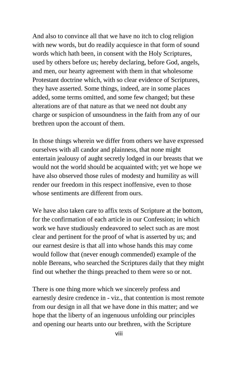And also to convince all that we have no itch to clog religion with new words, but do readily acquiesce in that form of sound words which hath been, in consent with the Holy Scriptures, used by others before us; hereby declaring, before God, angels, and men, our hearty agreement with them in that wholesome Protestant doctrine which, with so clear evidence of Scriptures, they have asserted. Some things, indeed, are in some places added, some terms omitted, and some few changed; but these alterations are of that nature as that we need not doubt any charge or suspicion of unsoundness in the faith from any of our brethren upon the account of them.

In those things wherein we differ from others we have expressed ourselves with all candor and plainness, that none might entertain jealousy of aught secretly lodged in our breasts that we would not the world should be acquainted with; yet we hope we have also observed those rules of modesty and humility as will render our freedom in this respect inoffensive, even to those whose sentiments are different from ours.

We have also taken care to affix texts of Scripture at the bottom, for the confirmation of each article in our Confession; in which work we have studiously endeavored to select such as are most clear and pertinent for the proof of what is asserted by us; and our earnest desire is that all into whose hands this may come would follow that (never enough commended) example of the noble Bereans, who searched the Scriptures daily that they might find out whether the things preached to them were so or not.

There is one thing more which we sincerely profess and earnestly desire credence in - viz., that contention is most remote from our design in all that we have done in this matter; and we hope that the liberty of an ingenuous unfolding our principles and opening our hearts unto our brethren, with the Scripture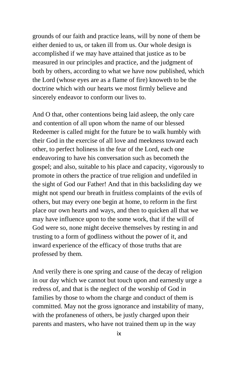grounds of our faith and practice leans, will by none of them be either denied to us, or taken ill from us. Our whole design is accomplished if we may have attained that justice as to be measured in our principles and practice, and the judgment of both by others, according to what we have now published, which the Lord (whose eyes are as a flame of fire) knoweth to be the doctrine which with our hearts we most firmly believe and sincerely endeavor to conform our lives to.

And O that, other contentions being laid asleep, the only care and contention of all upon whom the name of our blessed Redeemer is called might for the future be to walk humbly with their God in the exercise of all love and meekness toward each other, to perfect holiness in the fear of the Lord, each one endeavoring to have his conversation such as becometh the gospel; and also, suitable to his place and capacity, vigorously to promote in others the practice of true religion and undefiled in the sight of God our Father! And that in this backsliding day we might not spend our breath in fruitless complaints of the evils of others, but may every one begin at home, to reform in the first place our own hearts and ways, and then to quicken all that we may have influence upon to the some work, that if the will of God were so, none might deceive themselves by resting in and trusting to a form of godliness without the power of it, and inward experience of the efficacy of those truths that are professed by them.

And verily there is one spring and cause of the decay of religion in our day which we cannot but touch upon and earnestly urge a redress of, and that is the neglect of the worship of God in families by those to whom the charge and conduct of them is committed. May not the gross ignorance and instability of many, with the profaneness of others, be justly charged upon their parents and masters, who have not trained them up in the way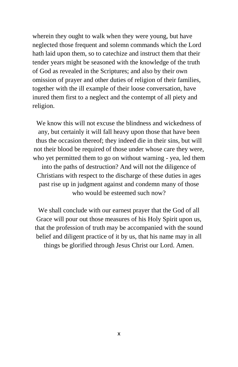wherein they ought to walk when they were young, but have neglected those frequent and solemn commands which the Lord hath laid upon them, so to catechize and instruct them that their tender years might be seasoned with the knowledge of the truth of God as revealed in the Scriptures; and also by their own omission of prayer and other duties of religion of their families, together with the ill example of their loose conversation, have inured them first to a neglect and the contempt of all piety and religion.

We know this will not excuse the blindness and wickedness of any, but certainly it will fall heavy upon those that have been thus the occasion thereof; they indeed die in their sins, but will not their blood be required of those under whose care they were, who yet permitted them to go on without warning - yea, led them into the paths of destruction? And will not the diligence of Christians with respect to the discharge of these duties in ages past rise up in judgment against and condemn many of those who would be esteemed such now?

We shall conclude with our earnest prayer that the God of all Grace will pour out those measures of his Holy Spirit upon us, that the profession of truth may be accompanied with the sound belief and diligent practice of it by us, that his name may in all things be glorified through Jesus Christ our Lord. Amen.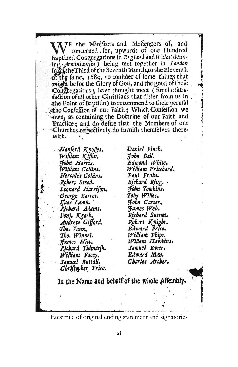TE the Minifters and Meffengers of, and. concerned for, upwards of one Hundred Baptized Congregations in England and Wales(denying Arminianifm ) being met together in London from the Third of the Seventh Month, to the Eleventh of the fame, 1689, to confider of fome things that might be for the Glory of God, and the good of thefe Congregations: have thought meet (for the fatisfaction of all other Chriftians that differ from us in the Point of Baptifin) to recommend to their perufal sthe Confeffion of our Faith; Which Confeffion we own, as containing the Doctrine of our Faith and Practice; and do defire that the Members of our Churches refpectively do furnifh themselves therewith.

Hanserd Knollys. William  $K$ iffin. Fohn Harris. William Collins. Hercules Colins. Robert Steed. Leonard Harrison. George Barret. Ifaac Lamb. Richard Adams. Benj. Keach. Andrew Gifford. Tho. Vaux. Tho. Winnel. Fames Hitt. Richard Tidmarsh. William Facey. Samuel Buttall. Chriftopher Price.

Daniel Finch. Fohn Ball. Edmond White. William Pritchard. Paul Fruin. Richard Ring. . Fohn Tomkins. Toby Willes. Folm Carter. Fames Web. Richard Sutton. Robert Knight. Edward Price. William Phips. Willam Hawkins. Samuel Ewer. Edward Man. Charles Archer.

In the Name and behalf of the whole Affembly.

Facsimile of original ending statement and signatories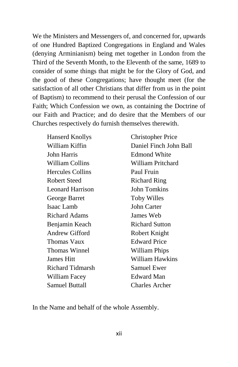We the Ministers and Messengers of, and concerned for, upwards of one Hundred Baptized Congregations in England and Wales (denying Arminianism) being met together in London from the Third of the Seventh Month, to the Eleventh of the same, 1689 to consider of some things that might be for the Glory of God, and the good of these Congregations; have thought meet (for the satisfaction of all other Christians that differ from us in the point of Baptism) to recommend to their perusal the Confession of our Faith; Which Confession we own, as containing the Doctrine of our Faith and Practice; and do desire that the Members of our Churches respectively do furnish themselves therewith.

Hanserd Knollys William Kiffin John Harris William Collins Hercules Collins Robert Steed Leonard Harrison George Barret Isaac Lamb Richard Adams Benjamin Keach Andrew Gifford Thomas Vaux Thomas Winnel James Hitt Richard Tidmarsh William Facey Samuel Buttall

Christopher Price Daniel Finch John Ball Edmond White William Pritchard Paul Fruin Richard Ring John Tomkins Toby Willes John Carter James Web Richard Sutton Robert Knight Edward Price William Phips William Hawkins Samuel Ewer Edward Man Charles Archer

In the Name and behalf of the whole Assembly.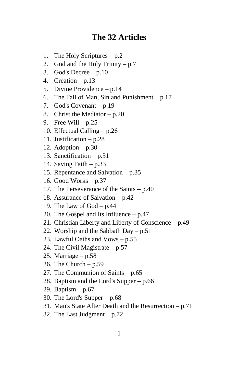#### **The 32 Articles**

- 1. [The Holy Scriptures](http://www.spurgeon.org/~phil/creeds/bcof.htm#part1) p.2
- 2. [God and the Holy Trinity](http://www.spurgeon.org/~phil/creeds/bcof.htm#part2)  $-p.7$
- 3. [God's Decree](http://www.spurgeon.org/~phil/creeds/bcof.htm#part3)  $-p.10$
- 4. [Creation](http://www.spurgeon.org/~phil/creeds/bcof.htm#part4) p.13
- 5. [Divine Providence](http://www.spurgeon.org/~phil/creeds/bcof.htm#part5) p.14
- 6. [The Fall of Man, Sin and Punishment](http://www.spurgeon.org/~phil/creeds/bcof.htm#part6)  $p.17$
- 7. [God's Covenant](http://www.spurgeon.org/~phil/creeds/bcof.htm#part7) p.19
- 8. [Christ the Mediator](http://www.spurgeon.org/~phil/creeds/bcof.htm#part8)  $-p.20$
- 9. [Free Will](http://www.spurgeon.org/~phil/creeds/bcof.htm#part9)  $p.25$
- 10. [Effectual Calling](http://www.spurgeon.org/~phil/creeds/bcof.htm#part10) p.26
- 11. [Justification](http://www.spurgeon.org/~phil/creeds/bcof.htm#part11) p.28
- 12. [Adoption](http://www.spurgeon.org/~phil/creeds/bcof.htm#part12)  $p.30$
- 13. [Sanctification](http://www.spurgeon.org/~phil/creeds/bcof.htm#part13) p.31
- 14. [Saving Faith](http://www.spurgeon.org/~phil/creeds/bcof.htm#part14) p.33
- 15. [Repentance and Salvation](http://www.spurgeon.org/~phil/creeds/bcof.htm#part15) p.35
- 16. [Good Works](http://www.spurgeon.org/~phil/creeds/bcof.htm#part16) p.37
- 17. [The Perseverance of the Saints](http://www.spurgeon.org/~phil/creeds/bcof.htm#part17) p.40
- 18. [Assurance of Salvation](http://www.spurgeon.org/~phil/creeds/bcof.htm#part18) p.42
- 19. The Law of  $God p.44$
- 20. [The Gospel and Its Influence](http://www.spurgeon.org/~phil/creeds/bcof.htm#part20) p.47
- 21. [Christian Liberty and Liberty of Conscience](http://www.spurgeon.org/~phil/creeds/bcof.htm#part21) p.49
- 22. [Worship and the Sabbath Day](http://www.spurgeon.org/~phil/creeds/bcof.htm#part22) p.51
- 23. [Lawful Oaths and Vows](http://www.spurgeon.org/~phil/creeds/bcof.htm#part23) p.55
- 24. [The Civil Magistrate](http://www.spurgeon.org/~phil/creeds/bcof.htm#part24) p.57
- 25. [Marriage](http://www.spurgeon.org/~phil/creeds/bcof.htm#part25)  $p.58$
- 26. [The Church](http://www.spurgeon.org/~phil/creeds/bcof.htm#part26)  $p.59$
- 27. [The Communion of Saints](http://www.spurgeon.org/~phil/creeds/bcof.htm#part27) p.65
- 28. [Baptism and the Lord's Supper](http://www.spurgeon.org/~phil/creeds/bcof.htm#part28) p.66
- 29. [Baptism](http://www.spurgeon.org/~phil/creeds/bcof.htm#part29) p.67
- 30. [The Lord's Supper](http://www.spurgeon.org/~phil/creeds/bcof.htm#part30) p.68
- 31. [Man's State After Death and the Resurrection](http://www.spurgeon.org/~phil/creeds/bcof.htm#part31) p.71
- 32. The Last Judgment p.72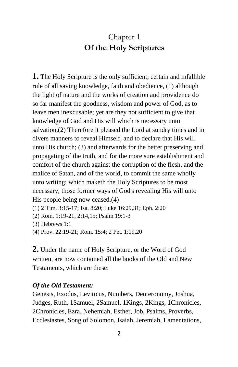## Chapter 1 **Of the Holy Scriptures**

**1.** The Holy Scripture is the only sufficient, certain and infallible rule of all saving knowledge, faith and obedience, (1) although the light of nature and the works of creation and providence do so far manifest the goodness, wisdom and power of God, as to leave men inexcusable; yet are they not sufficient to give that knowledge of God and His will which is necessary unto salvation.(2) Therefore it pleased the Lord at sundry times and in divers manners to reveal Himself, and to declare that His will unto His church; (3) and afterwards for the better preserving and propagating of the truth, and for the more sure establishment and comfort of the church against the corruption of the flesh, and the malice of Satan, and of the world, to commit the same wholly unto writing; which maketh the Holy Scriptures to be most necessary, those former ways of God's revealing His will unto His people being now ceased.(4) (1) 2 Tim. 3:15-17; Isa. 8:20; Luke 16:29,31; Eph. 2:20

(2) Rom. 1:19-21, 2:14,15; Psalm 19:1-3

(3) Hebrews 1:1

(4) Prov. 22:19-21; Rom. 15:4; 2 Pet. 1:19,20

**2.** Under the name of Holy Scripture, or the Word of God written, are now contained all the books of the Old and New Testaments, which are these:

#### *Of the Old Testament:*

Genesis, Exodus, Leviticus, Numbers, Deuteronomy, Joshua, Judges, Ruth, 1Samuel, 2Samuel, 1Kings, 2Kings, 1Chronicles, 2Chronicles, Ezra, Nehemiah, Esther, Job, Psalms, Proverbs, Ecclesiastes, Song of Solomon, Isaiah, Jeremiah, Lamentations,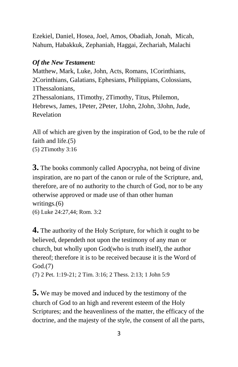Ezekiel, Daniel, Hosea, Joel, Amos, Obadiah, Jonah, Micah, Nahum, Habakkuk, Zephaniah, Haggai, Zechariah, Malachi

#### *Of the New Testament:*

Matthew, Mark, Luke, John, Acts, Romans, 1Corinthians, 2Corinthians, Galatians, Ephesians, Philippians, Colossians, 1Thessalonians, 2Thessalonians, 1Timothy, 2Timothy, Titus, Philemon, Hebrews, James, 1Peter, 2Peter, 1John, 2John, 3John, Jude, Revelation

All of which are given by the inspiration of God, to be the rule of faith and life.(5) (5) 2Timothy 3:16

**3.** The books commonly called Apocrypha, not being of divine inspiration, are no part of the canon or rule of the Scripture, and, therefore, are of no authority to the church of God, nor to be any otherwise approved or made use of than other human writings.(6) (6) Luke 24:27,44; Rom. 3:2

**4.** The authority of the Holy Scripture, for which it ought to be believed, dependeth not upon the testimony of any man or church, but wholly upon God(who is truth itself), the author thereof; therefore it is to be received because it is the Word of God.(7)

```
(7) 2 Pet. 1:19-21; 2 Tim. 3:16; 2 Thess. 2:13; 1 John 5:9
```
**5.** We may be moved and induced by the testimony of the church of God to an high and reverent esteem of the Holy Scriptures; and the heavenliness of the matter, the efficacy of the doctrine, and the majesty of the style, the consent of all the parts,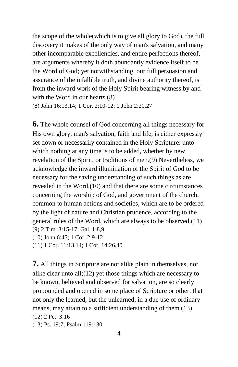the scope of the whole(which is to give all glory to God), the full discovery it makes of the only way of man's salvation, and many other incomparable excellencies, and entire perfections thereof, are arguments whereby it doth abundantly evidence itself to be the Word of God; yet notwithstanding, our full persuasion and assurance of the infallible truth, and divine authority thereof, is from the inward work of the Holy Spirit bearing witness by and with the Word in our hearts.(8) (8) John 16:13,14; 1 Cor. 2:10-12; 1 John 2:20,27

**6.** The whole counsel of God concerning all things necessary for His own glory, man's salvation, faith and life, is either expressly set down or necessarily contained in the Holy Scripture: unto which nothing at any time is to be added, whether by new revelation of the Spirit, or traditions of men.(9) Nevertheless, we acknowledge the inward illumination of the Spirit of God to be necessary for the saving understanding of such things as are revealed in the Word,(10) and that there are some circumstances concerning the worship of God, and government of the church, common to human actions and societies, which are to be ordered by the light of nature and Christian prudence, according to the general rules of the Word, which are always to be observed.(11) (9) 2 Tim. 3:15-17; Gal. 1:8,9 (10) John 6:45; 1 Cor. 2:9-12 (11) 1 Cor. 11:13,14; 1 Cor. 14:26,40

**7.** All things in Scripture are not alike plain in themselves, nor alike clear unto all; $(12)$  yet those things which are necessary to be known, believed and observed for salvation, are so clearly propounded and opened in some place of Scripture or other, that not only the learned, but the unlearned, in a due use of ordinary means, may attain to a sufficient understanding of them.(13) (12) 2 Pet. 3:16 (13) Ps. 19:7; Psalm 119:130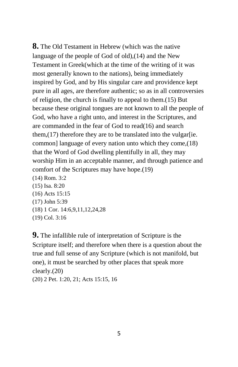**8.** The Old Testament in Hebrew (which was the native language of the people of God of old),(14) and the New Testament in Greek(which at the time of the writing of it was most generally known to the nations), being immediately inspired by God, and by His singular care and providence kept pure in all ages, are therefore authentic; so as in all controversies of religion, the church is finally to appeal to them.(15) But because these original tongues are not known to all the people of God, who have a right unto, and interest in the Scriptures, and are commanded in the fear of God to read(16) and search them, $(17)$  therefore they are to be translated into the vulgar [ie. common] language of every nation unto which they come,(18) that the Word of God dwelling plentifully in all, they may worship Him in an acceptable manner, and through patience and comfort of the Scriptures may have hope.(19) (14) Rom. 3:2 (15) Isa. 8:20

(16) Acts 15:15 (17) John 5:39 (18) 1 Cor. 14:6,9,11,12,24,28 (19) Col. 3:16

**9.** The infallible rule of interpretation of Scripture is the Scripture itself; and therefore when there is a question about the true and full sense of any Scripture (which is not manifold, but one), it must be searched by other places that speak more clearly.(20) (20) 2 Pet. 1:20, 21; Acts 15:15, 16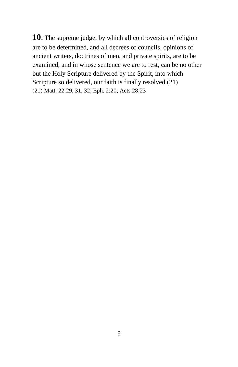**10**. The supreme judge, by which all controversies of religion are to be determined, and all decrees of councils, opinions of ancient writers, doctrines of men, and private spirits, are to be examined, and in whose sentence we are to rest, can be no other but the Holy Scripture delivered by the Spirit, into which Scripture so delivered, our faith is finally resolved.(21) (21) Matt. 22:29, 31, 32; Eph. 2:20; Acts 28:23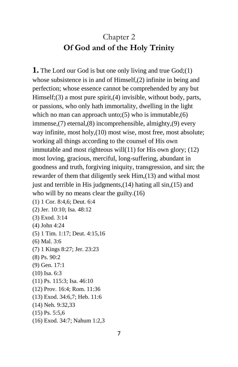#### Chapter 2 **Of God and of the Holy Trinity**

**1.** The Lord our God is but one only living and true God; (1) whose subsistence is in and of Himself, (2) infinite in being and perfection; whose essence cannot be comprehended by any but Himself;(3) a most pure spirit,(4) invisible, without body, parts, or passions, who only hath immortality, dwelling in the light which no man can approach unto;(5) who is immutable, $(6)$ immense,(7) eternal,(8) incomprehensible, almighty,(9) every way infinite, most holy,(10) most wise, most free, most absolute; working all things according to the counsel of His own immutable and most righteous will(11) for His own glory; (12) most loving, gracious, merciful, long-suffering, abundant in goodness and truth, forgiving iniquity, transgression, and sin; the rewarder of them that diligently seek Him,(13) and withal most just and terrible in His judgments, (14) hating all sin, (15) and who will by no means clear the guilty.(16) (1) 1 Cor. 8:4,6; Deut. 6:4 (2) Jer. 10:10; Isa. 48:12 (3) Exod. 3:14

- (4) John 4:24
- (5) 1 Tim. 1:17; Deut. 4:15,16
- (6) Mal. 3:6
- (7) 1 Kings 8:27; Jer. 23:23
- (8) Ps. 90:2
- (9) Gen. 17:1
- (10) Isa. 6:3
- (11) Ps. 115:3; Isa. 46:10
- (12) Prov. 16:4; Rom. 11:36
- (13) Exod. 34:6,7; Heb. 11:6
- (14) Neh. 9:32,33
- (15) Ps. 5:5,6
- (16) Exod. 34:7; Nahum 1:2,3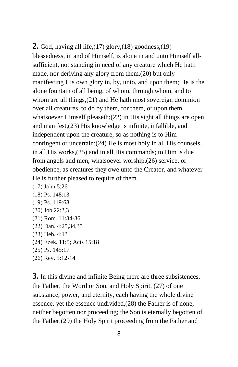**2.** God, having all life,(17) glory,(18) goodness,(19) blessedness, in and of Himself, is alone in and unto Himself allsufficient, not standing in need of any creature which He hath made, nor deriving any glory from them,(20) but only manifesting His own glory in, by, unto, and upon them; He is the alone fountain of all being, of whom, through whom, and to whom are all things,(21) and He hath most sovereign dominion over all creatures, to do by them, for them, or upon them, whatsoever Himself pleaseth; (22) in His sight all things are open and manifest,(23) His knowledge is infinite, infallible, and independent upon the creature, so as nothing is to Him contingent or uncertain:(24) He is most holy in all His counsels, in all His works,(25) and in all His commands; to Him is due from angels and men, whatsoever worship,(26) service, or obedience, as creatures they owe unto the Creator, and whatever He is further pleased to require of them.

(17) John 5:26 (18) Ps. 148:13 (19) Ps. 119:68 (20) Job 22:2,3 (21) Rom. 11:34-36 (22) Dan. 4:25,34,35 (23) Heb. 4:13 (24) Ezek. 11:5; Acts 15:18 (25) Ps. 145:17 (26) Rev. 5:12-14

**3.** In this divine and infinite Being there are three subsistences, the Father, the Word or Son, and Holy Spirit, (27) of one substance, power, and eternity, each having the whole divine essence, yet the essence undivided,(28) the Father is of none, neither begotten nor proceeding; the Son is eternally begotten of the Father;(29) the Holy Spirit proceeding from the Father and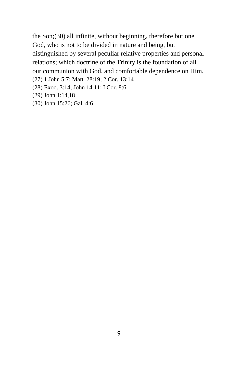the Son;(30) all infinite, without beginning, therefore but one God, who is not to be divided in nature and being, but distinguished by several peculiar relative properties and personal relations; which doctrine of the Trinity is the foundation of all our communion with God, and comfortable dependence on Him. (27) 1 John 5:7; Matt. 28:19; 2 Cor. 13:14

(28) Exod. 3:14; John 14:11; I Cor. 8:6

- (29) John 1:14,18
- (30) John 15:26; Gal. 4:6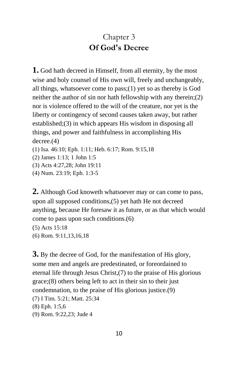# Chapter 3 **Of God's Decree**

**1.** God hath decreed in Himself, from all eternity, by the most wise and holy counsel of His own will, freely and unchangeably, all things, whatsoever come to pass;(1) yet so as thereby is God neither the author of sin nor hath fellowship with any therein;(2) nor is violence offered to the will of the creature, nor yet is the liberty or contingency of second causes taken away, but rather established;(3) in which appears His wisdom in disposing all things, and power and faithfulness in accomplishing His decree.(4)

(1) Isa. 46:10; Eph. 1:11; Heb. 6:17; Rom. 9:15,18

(2) James 1:13; 1 John 1:5

(3) Acts 4:27,28; John 19:11

(4) Num. 23:19; Eph. 1:3-5

**2.** Although God knoweth whatsoever may or can come to pass, upon all supposed conditions,(5) yet hath He not decreed anything, because He foresaw it as future, or as that which would come to pass upon such conditions.(6)

(5) Acts 15:18

(6) Rom. 9:11,13,16,18

**3.** By the decree of God, for the manifestation of His glory, some men and angels are predestinated, or foreordained to eternal life through Jesus Christ,(7) to the praise of His glorious grace;(8) others being left to act in their sin to their just condemnation, to the praise of His glorious justice.(9) (7) I Tim. 5:21; Matt. 25:34 (8) Eph. 1:5,6 (9) Rom. 9:22,23; Jude 4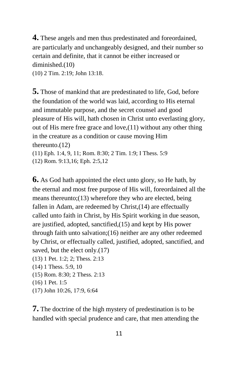**4.** These angels and men thus predestinated and foreordained, are particularly and unchangeably designed, and their number so certain and definite, that it cannot be either increased or diminished.(10)

(10) 2 Tim. 2:19; John 13:18.

**5.** Those of mankind that are predestinated to life, God, before the foundation of the world was laid, according to His eternal and immutable purpose, and the secret counsel and good pleasure of His will, hath chosen in Christ unto everlasting glory, out of His mere free grace and love,(11) without any other thing in the creature as a condition or cause moving Him thereunto.(12) (11) Eph. 1:4, 9, 11; Rom. 8:30; 2 Tim. 1:9; I Thess. 5:9

(12) Rom. 9:13,16; Eph. 2:5,12

**6.** As God hath appointed the elect unto glory, so He hath, by the eternal and most free purpose of His will, foreordained all the means thereunto;(13) wherefore they who are elected, being fallen in Adam, are redeemed by Christ,(14) are effectually called unto faith in Christ, by His Spirit working in due season, are justified, adopted, sanctified,(15) and kept by His power through faith unto salvation;(16) neither are any other redeemed by Christ, or effectually called, justified, adopted, sanctified, and saved, but the elect only.  $(17)$ 

- (13) 1 Pet. 1:2; 2; Thess. 2:13
- (14) 1 Thess. 5:9, 10
- (15) Rom. 8:30; 2 Thess. 2:13
- (16) 1 Pet. 1:5
- (17) John 10:26, 17:9, 6:64

**7.** The doctrine of the high mystery of predestination is to be handled with special prudence and care, that men attending the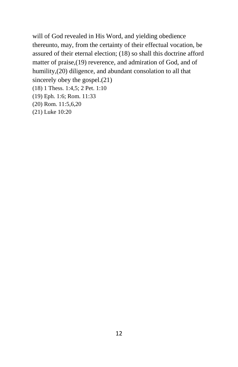will of God revealed in His Word, and yielding obedience thereunto, may, from the certainty of their effectual vocation, be assured of their eternal election; (18) so shall this doctrine afford matter of praise,(19) reverence, and admiration of God, and of humility,(20) diligence, and abundant consolation to all that sincerely obey the gospel.(21) (18) 1 Thess. 1:4,5; 2 Pet. 1:10 (19) Eph. 1:6; Rom. 11:33 (20) Rom. 11:5,6,20

(21) Luke 10:20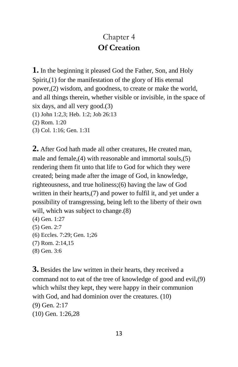# Chapter 4 **Of Creation**

**1.** In the beginning it pleased God the Father, Son, and Holy Spirit, (1) for the manifestation of the glory of His eternal power,(2) wisdom, and goodness, to create or make the world, and all things therein, whether visible or invisible, in the space of six days, and all very good.(3) (1) John 1:2,3; Heb. 1:2; Job 26:13 (2) Rom. 1:20 (3) Col. 1:16; Gen. 1:31

**2.** After God hath made all other creatures, He created man, male and female,(4) with reasonable and immortal souls,(5) rendering them fit unto that life to God for which they were created; being made after the image of God, in knowledge, righteousness, and true holiness;(6) having the law of God written in their hearts,(7) and power to fulfil it, and yet under a possibility of transgressing, being left to the liberty of their own will, which was subject to change.  $(8)$ 

(4) Gen. 1:27 (5) Gen. 2:7 (6) Eccles. 7:29; Gen. 1;26 (7) Rom. 2:14,15 (8) Gen. 3:6

**3.** Besides the law written in their hearts, they received a command not to eat of the tree of knowledge of good and evil,(9) which whilst they kept, they were happy in their communion with God, and had dominion over the creatures. (10) (9) Gen. 2:17 (10) Gen. 1:26,28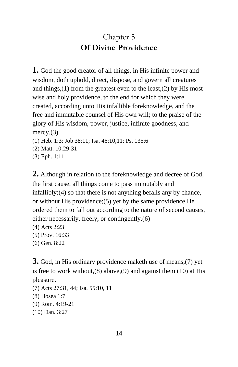## Chapter 5 **Of Divine Providence**

**1.** God the good creator of all things, in His infinite power and wisdom, doth uphold, direct, dispose, and govern all creatures and things, $(1)$  from the greatest even to the least, $(2)$  by His most wise and holy providence, to the end for which they were created, according unto His infallible foreknowledge, and the free and immutable counsel of His own will; to the praise of the glory of His wisdom, power, justice, infinite goodness, and mercy.(3)

(1) Heb. 1:3; Job 38:11; Isa. 46:10,11; Ps. 135:6

(2) Matt. 10:29-31

(3) Eph. 1:11

**2.** Although in relation to the foreknowledge and decree of God, the first cause, all things come to pass immutably and infallibly;(4) so that there is not anything befalls any by chance, or without His providence;(5) yet by the same providence He ordered them to fall out according to the nature of second causes, either necessarily, freely, or contingently.(6)

(4) Acts 2:23 (5) Prov. 16:33 (6) Gen. 8:22

**3.** God, in His ordinary providence maketh use of means,(7) yet is free to work without,(8) above,(9) and against them (10) at His pleasure.

(7) Acts 27:31, 44; Isa. 55:10, 11 (8) Hosea 1:7 (9) Rom. 4:19-21 (10) Dan. 3:27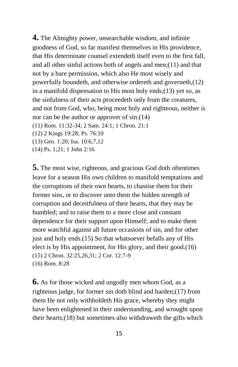**4.** The Almighty power, unsearchable wisdom, and infinite goodness of God, so far manifest themselves in His providence, that His determinate counsel extendeth itself even to the first fall, and all other sinful actions both of angels and men;(11) and that not by a bare permission, which also He most wisely and powerfully boundeth, and otherwise ordereth and governeth,(12) in a manifold dispensation to His most holy ends;(13) yet so, as the sinfulness of their acts proceedeth only from the creatures, and not from God, who, being most holy and righteous, neither is nor can be the author or approver of sin.(14) (11) Rom. 11:32-34; 2 Sam. 24:1; 1 Chron. 21:1 (12) 2 Kings 19:28; Ps. 76:10

- (13) Gen. 1:20; Isa. 10:6,7,12
- (14) Ps. 1;21; 1 John 2:16

**5.** The most wise, righteous, and gracious God doth oftentimes leave for a season His own children to manifold temptations and the corruptions of their own hearts, to chastise them for their former sins, or to discover unto them the hidden strength of corruption and deceitfulness of their hearts, that they may be humbled; and to raise them to a more close and constant dependence for their support upon Himself; and to make them more watchful against all future occasions of sin, and for other just and holy ends.(15) So that whatsoever befalls any of His elect is by His appointment, for His glory, and their good.(16) (15) 2 Chron. 32:25,26,31; 2 Cor. 12:7-9 (16) Rom. 8:28

**6.** As for those wicked and ungodly men whom God, as a righteous judge, for former sin doth blind and harden;(17) from them He not only withholdeth His grace, whereby they might have been enlightened in their understanding, and wrought upon their hearts;(18) but sometimes also withdraweth the gifts which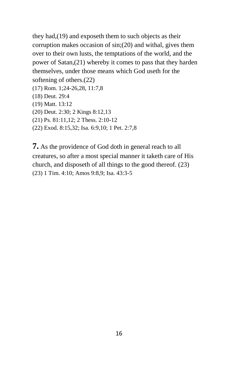they had,(19) and exposeth them to such objects as their corruption makes occasion of sin;(20) and withal, gives them over to their own lusts, the temptations of the world, and the power of Satan,(21) whereby it comes to pass that they harden themselves, under those means which God useth for the softening of others.(22)

(17) Rom. 1;24-26,28, 11:7,8 (18) Deut. 29:4 (19) Matt. 13:12 (20) Deut. 2:30; 2 Kings 8:12,13 (21) Ps. 81:11,12; 2 Thess. 2:10-12 (22) Exod. 8:15,32; Isa. 6:9,10; 1 Pet. 2:7,8

**7.** As the providence of God doth in general reach to all creatures, so after a most special manner it taketh care of His church, and disposeth of all things to the good thereof. (23) (23) 1 Tim. 4:10; Amos 9:8,9; Isa. 43:3-5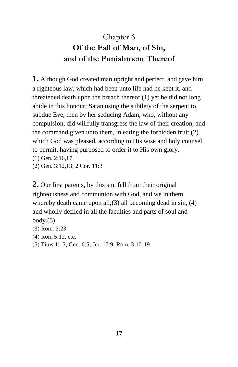# Chapter 6 **Of the Fall of Man, of Sin, and of the Punishment Thereof**

**1.** Although God created man upright and perfect, and gave him a righteous law, which had been unto life had he kept it, and threatened death upon the breach thereof,(1) yet he did not long abide in this honour; Satan using the subtlety of the serpent to subdue Eve, then by her seducing Adam, who, without any compulsion, did willfully transgress the law of their creation, and the command given unto them, in eating the forbidden fruit,(2) which God was pleased, according to His wise and holy counsel to permit, having purposed to order it to His own glory. (1) Gen. 2:16,17 (2) Gen. 3:12,13; 2 Cor. 11:3

**2.** Our first parents, by this sin, fell from their original righteousness and communion with God, and we in them whereby death came upon all;  $(3)$  all becoming dead in sin,  $(4)$ and wholly defiled in all the faculties and parts of soul and  $body.(5)$ 

- (3) Rom. 3:23
- (4) Rom 5:12, etc.
- (5) Titus 1:15; Gen. 6:5; Jer. 17:9; Rom. 3:10-19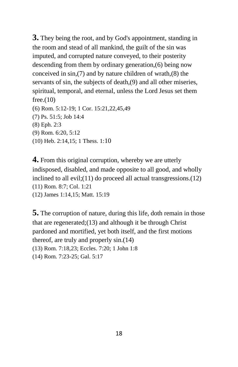**3.** They being the root, and by God's appointment, standing in the room and stead of all mankind, the guilt of the sin was imputed, and corrupted nature conveyed, to their posterity descending from them by ordinary generation,(6) being now conceived in sin,(7) and by nature children of wrath,(8) the servants of sin, the subjects of death,(9) and all other miseries, spiritual, temporal, and eternal, unless the Lord Jesus set them free. $(10)$ 

(6) Rom. 5:12-19; 1 Cor. 15:21,22,45,49 (7) Ps. 51:5; Job 14:4 (8) Eph. 2:3 (9) Rom. 6:20, 5:12 (10) Heb. 2:14,15; 1 Thess. 1:10

**4.** From this original corruption, whereby we are utterly indisposed, disabled, and made opposite to all good, and wholly inclined to all evil;(11) do proceed all actual transgressions.(12) (11) Rom. 8:7; Col. 1:21 (12) James 1:14,15; Matt. 15:19

**5.** The corruption of nature, during this life, doth remain in those that are regenerated;(13) and although it be through Christ pardoned and mortified, yet both itself, and the first motions thereof, are truly and properly sin.(14) (13) Rom. 7:18,23; Eccles. 7:20; 1 John 1:8 (14) Rom. 7:23-25; Gal. 5:17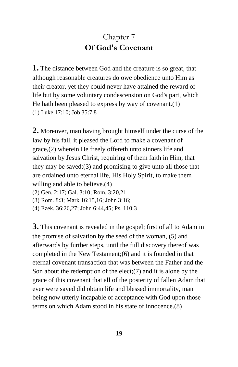## Chapter 7 **Of God's Covenant**

**1.** The distance between God and the creature is so great, that although reasonable creatures do owe obedience unto Him as their creator, yet they could never have attained the reward of life but by some voluntary condescension on God's part, which He hath been pleased to express by way of covenant.(1) (1) Luke 17:10; Job 35:7,8

**2.** Moreover, man having brought himself under the curse of the law by his fall, it pleased the Lord to make a covenant of grace,(2) wherein He freely offereth unto sinners life and salvation by Jesus Christ, requiring of them faith in Him, that they may be saved;(3) and promising to give unto all those that are ordained unto eternal life, His Holy Spirit, to make them willing and able to believe. (4)

(2) Gen. 2:17; Gal. 3:10; Rom. 3:20,21

(3) Rom. 8:3; Mark 16:15,16; John 3:16;

(4) Ezek. 36:26,27; John 6:44,45; Ps. 110:3

**3.** This covenant is revealed in the gospel; first of all to Adam in the promise of salvation by the seed of the woman, (5) and afterwards by further steps, until the full discovery thereof was completed in the New Testament;(6) and it is founded in that eternal covenant transaction that was between the Father and the Son about the redemption of the elect;(7) and it is alone by the grace of this covenant that all of the posterity of fallen Adam that ever were saved did obtain life and blessed immortality, man being now utterly incapable of acceptance with God upon those terms on which Adam stood in his state of innocence.(8)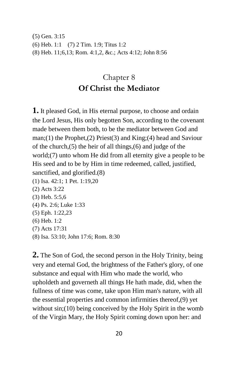(5) Gen. 3:15 (6) Heb. 1:1 (7) 2 Tim. 1:9; Titus 1:2 (8) Heb. 11;6,13; Rom. 4:1,2, &c.; Acts 4:12; John 8:56

## Chapter 8 **Of Christ the Mediator**

**1.** It pleased God, in His eternal purpose, to choose and ordain the Lord Jesus, His only begotten Son, according to the covenant made between them both, to be the mediator between God and man;(1) the Prophet,(2) Priest(3) and King;(4) head and Saviour of the church,(5) the heir of all things,(6) and judge of the world;(7) unto whom He did from all eternity give a people to be His seed and to be by Him in time redeemed, called, justified, sanctified, and glorified.(8)

- (1) Isa. 42:1; 1 Pet. 1:19,20
- (2) Acts 3:22
- (3) Heb. 5:5,6
- (4) Ps. 2:6; Luke 1:33
- (5) Eph. 1:22,23
- (6) Heb. 1:2
- (7) Acts 17:31
- (8) Isa. 53:10; John 17:6; Rom. 8:30

**2.** The Son of God, the second person in the Holy Trinity, being very and eternal God, the brightness of the Father's glory, of one substance and equal with Him who made the world, who upholdeth and governeth all things He hath made, did, when the fullness of time was come, take upon Him man's nature, with all the essential properties and common infirmities thereof,(9) yet without sin;(10) being conceived by the Holy Spirit in the womb of the Virgin Mary, the Holy Spirit coming down upon her: and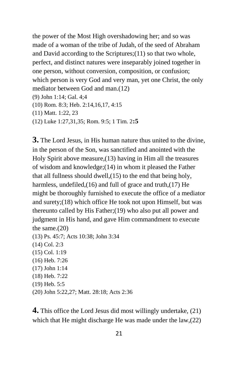the power of the Most High overshadowing her; and so was made of a woman of the tribe of Judah, of the seed of Abraham and David according to the Scriptures;(11) so that two whole, perfect, and distinct natures were inseparably joined together in one person, without conversion, composition, or confusion; which person is very God and very man, yet one Christ, the only mediator between God and man.(12) (9) John 1:14; Gal. 4;4 (10) Rom. 8:3; Heb. 2:14,16,17, 4:15 (11) Matt. 1:22, 23 (12) Luke 1:27,31,35; Rom. 9:5; 1 Tim. 2**:5**

**3.** The Lord Jesus, in His human nature thus united to the divine, in the person of the Son, was sanctified and anointed with the Holy Spirit above measure,(13) having in Him all the treasures of wisdom and knowledge;(14) in whom it pleased the Father that all fullness should dwell,(15) to the end that being holy, harmless, undefiled,  $(16)$  and full of grace and truth,  $(17)$  He might be thoroughly furnished to execute the office of a mediator and surety;(18) which office He took not upon Himself, but was thereunto called by His Father;(19) who also put all power and judgment in His hand, and gave Him commandment to execute the same.(20) (13) Ps. 45:7; Acts 10:38; John 3:34

- (14) Col. 2:3 (15) Col. 1:19 (16) Heb. 7:26 (17) John 1:14 (18) Heb. 7:22 (19) Heb. 5:5
- (20) John 5:22,27; Matt. 28:18; Acts 2:36

**4.** This office the Lord Jesus did most willingly undertake, (21) which that He might discharge He was made under the law,(22)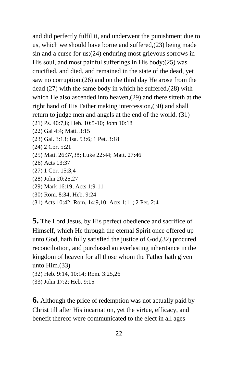and did perfectly fulfil it, and underwent the punishment due to us, which we should have borne and suffered,(23) being made sin and a curse for us;(24) enduring most grievous sorrows in His soul, and most painful sufferings in His body;(25) was crucified, and died, and remained in the state of the dead, yet saw no corruption:(26) and on the third day He arose from the dead (27) with the same body in which he suffered,(28) with which He also ascended into heaven,(29) and there sitteth at the right hand of His Father making intercession,(30) and shall return to judge men and angels at the end of the world. (31) (21) Ps. 40:7,8; Heb. 10:5-10; John 10:18 (22) Gal 4:4; Matt. 3:15 (23) Gal. 3:13; Isa. 53:6; 1 Pet. 3:18 (24) 2 Cor. 5:21 (25) Matt. 26:37,38; Luke 22:44; Matt. 27:46 (26) Acts 13:37 (27) 1 Cor. 15:3,4 (28) John 20:25,27 (29) Mark 16:19; Acts 1:9-11 (30) Rom. 8:34; Heb. 9:24 (31) Acts 10:42; Rom. 14:9,10; Acts 1:11; 2 Pet. 2:4

**5.** The Lord Jesus, by His perfect obedience and sacrifice of Himself, which He through the eternal Spirit once offered up unto God, hath fully satisfied the justice of God,(32) procured reconciliation, and purchased an everlasting inheritance in the kingdom of heaven for all those whom the Father hath given unto Him.(33)

```
(32) Heb. 9:14, 10:14; Rom. 3:25,26
(33) John 17:2; Heb. 9:15
```
**6.** Although the price of redemption was not actually paid by Christ till after His incarnation, yet the virtue, efficacy, and benefit thereof were communicated to the elect in all ages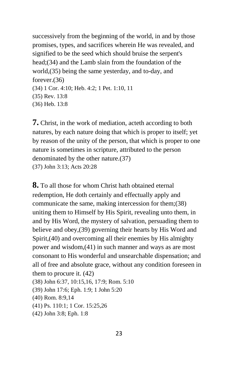successively from the beginning of the world, in and by those promises, types, and sacrifices wherein He was revealed, and signified to be the seed which should bruise the serpent's head;(34) and the Lamb slain from the foundation of the world,(35) being the same yesterday, and to-day, and forever.(36) (34) 1 Cor. 4:10; Heb. 4:2; 1 Pet. 1:10, 11 (35) Rev. 13:8 (36) Heb. 13:8

**7.** Christ, in the work of mediation, acteth according to both natures, by each nature doing that which is proper to itself; yet by reason of the unity of the person, that which is proper to one nature is sometimes in scripture, attributed to the person denominated by the other nature.(37) (37) John 3:13; Acts 20:28

**8.** To all those for whom Christ hath obtained eternal redemption, He doth certainly and effectually apply and communicate the same, making intercession for them;(38) uniting them to Himself by His Spirit, revealing unto them, in and by His Word, the mystery of salvation, persuading them to believe and obey,(39) governing their hearts by His Word and Spirit,(40) and overcoming all their enemies by His almighty power and wisdom,(41) in such manner and ways as are most consonant to His wonderful and unsearchable dispensation; and all of free and absolute grace, without any condition foreseen in them to procure it. (42)

(38) John 6:37, 10:15,16, 17:9; Rom. 5:10

(39) John 17:6; Eph. 1:9; 1 John 5:20

(40) Rom. 8:9,14

(41) Ps. 110:1; 1 Cor. 15:25,26

(42) John 3:8; Eph. 1:8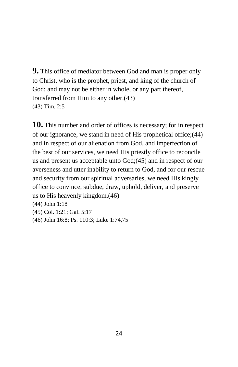**9.** This office of mediator between God and man is proper only to Christ, who is the prophet, priest, and king of the church of God; and may not be either in whole, or any part thereof, transferred from Him to any other.(43) (43) Tim. 2:5

**10.** This number and order of offices is necessary; for in respect of our ignorance, we stand in need of His prophetical office;(44) and in respect of our alienation from God, and imperfection of the best of our services, we need His priestly office to reconcile us and present us acceptable unto God;(45) and in respect of our averseness and utter inability to return to God, and for our rescue and security from our spiritual adversaries, we need His kingly office to convince, subdue, draw, uphold, deliver, and preserve us to His heavenly kingdom.(46) (44) John 1:18 (45) Col. 1:21; Gal. 5:17 (46) John 16:8; Ps. 110:3; Luke 1:74,75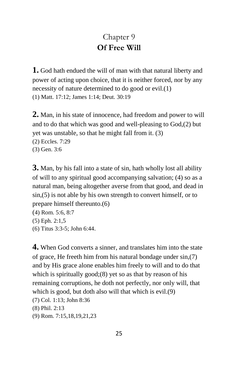# Chapter 9 **Of Free Will**

**1.** God hath endued the will of man with that natural liberty and power of acting upon choice, that it is neither forced, nor by any necessity of nature determined to do good or evil.(1) (1) Matt. 17:12; James 1:14; Deut. 30:19

**2.** Man, in his state of innocence, had freedom and power to will and to do that which was good and well-pleasing to God,(2) but yet was unstable, so that he might fall from it. (3) (2) Eccles. 7:29 (3) Gen. 3:6

**3.** Man, by his fall into a state of sin, hath wholly lost all ability of will to any spiritual good accompanying salvation; (4) so as a natural man, being altogether averse from that good, and dead in sin,(5) is not able by his own strength to convert himself, or to prepare himself thereunto.(6)

(4) Rom. 5:6, 8:7

- (5) Eph. 2:1,5
- (6) Titus 3:3-5; John 6:44.

**4.** When God converts a sinner, and translates him into the state of grace, He freeth him from his natural bondage under sin,(7) and by His grace alone enables him freely to will and to do that which is spiritually good; (8) yet so as that by reason of his remaining corruptions, he doth not perfectly, nor only will, that which is good, but doth also will that which is evil.(9)

- (7) Col. 1:13; John 8:36
- (8) Phil. 2:13
- (9) Rom. 7:15,18,19,21,23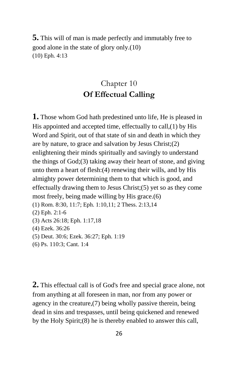**5.** This will of man is made perfectly and immutably free to good alone in the state of glory only.(10) (10) Eph. 4:13

# Chapter 10 **Of Effectual Calling**

**1.** Those whom God hath predestined unto life, He is pleased in His appointed and accepted time, effectually to call, $(1)$  by His Word and Spirit, out of that state of sin and death in which they are by nature, to grace and salvation by Jesus Christ;(2) enlightening their minds spiritually and savingly to understand the things of God;(3) taking away their heart of stone, and giving unto them a heart of flesh:(4) renewing their wills, and by His almighty power determining them to that which is good, and effectually drawing them to Jesus Christ;(5) yet so as they come most freely, being made willing by His grace.(6) (1) Rom. 8:30, 11:7; Eph. 1:10,11; 2 Thess. 2:13,14 (2) Eph. 2:1-6 (3) Acts 26:18; Eph. 1:17,18 (4) Ezek. 36:26 (5) Deut. 30:6; Ezek. 36:27; Eph. 1:19

(6) Ps. 110:3; Cant. 1:4

**2.** This effectual call is of God's free and special grace alone, not from anything at all foreseen in man, nor from any power or agency in the creature,(7) being wholly passive therein, being dead in sins and trespasses, until being quickened and renewed by the Holy Spirit;(8) he is thereby enabled to answer this call,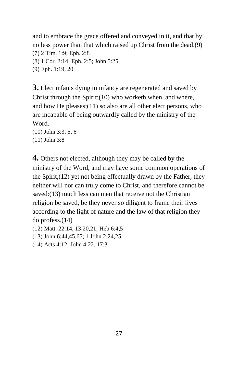and to embrace the grace offered and conveyed in it, and that by no less power than that which raised up Christ from the dead.(9) (7) 2 Tim. 1:9; Eph. 2:8 (8) 1 Cor. 2:14; Eph. 2:5; John 5:25 (9) Eph. 1:19, 20

**3.** Elect infants dying in infancy are regenerated and saved by Christ through the Spirit;(10) who worketh when, and where, and how He pleases;(11) so also are all other elect persons, who are incapable of being outwardly called by the ministry of the Word.

(10) John 3:3, 5, 6 (11) John 3:8

**4.** Others not elected, although they may be called by the ministry of the Word, and may have some common operations of the Spirit,(12) yet not being effectually drawn by the Father, they neither will nor can truly come to Christ, and therefore cannot be saved:(13) much less can men that receive not the Christian religion be saved, be they never so diligent to frame their lives according to the light of nature and the law of that religion they do profess.(14)

(12) Matt. 22:14, 13:20,21; Heb 6:4,5 (13) John 6:44,45,65; 1 John 2:24,25

(14) Acts 4:12; John 4:22, 17:3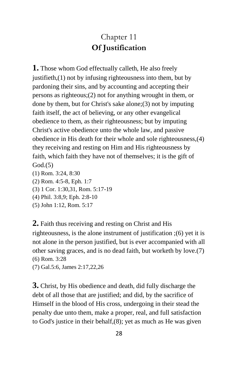## Chapter 11 **Of Justification**

**1.** Those whom God effectually calleth, He also freely justifieth, $(1)$  not by infusing righteousness into them, but by pardoning their sins, and by accounting and accepting their persons as righteous;(2) not for anything wrought in them, or done by them, but for Christ's sake alone;(3) not by imputing faith itself, the act of believing, or any other evangelical obedience to them, as their righteousness; but by imputing Christ's active obedience unto the whole law, and passive obedience in His death for their whole and sole righteousness,(4) they receiving and resting on Him and His righteousness by faith, which faith they have not of themselves; it is the gift of God.(5)

- (1) Rom. 3:24, 8:30
- (2) Rom. 4:5-8, Eph. 1:7
- (3) 1 Cor. 1:30,31, Rom. 5:17-19
- (4) Phil. 3:8,9; Eph. 2:8-10
- (5) John 1:12, Rom. 5:17

**2.** Faith thus receiving and resting on Christ and His righteousness, is the alone instrument of justification ;(6) yet it is not alone in the person justified, but is ever accompanied with all other saving graces, and is no dead faith, but worketh by love.(7) (6) Rom. 3:28

(7) Gal.5:6, James 2:17,22,26

**3.** Christ, by His obedience and death, did fully discharge the debt of all those that are justified; and did, by the sacrifice of Himself in the blood of His cross, undergoing in their stead the penalty due unto them, make a proper, real, and full satisfaction to God's justice in their behalf,(8); yet as much as He was given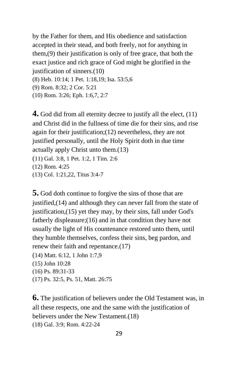by the Father for them, and His obedience and satisfaction accepted in their stead, and both freely, not for anything in them,(9) their justification is only of free grace, that both the exact justice and rich grace of God might be glorified in the justification of sinners.(10)

(8) Heb. 10:14; 1 Pet. 1:18,19; Isa. 53:5,6

(9) Rom. 8:32; 2 Cor. 5:21

(10) Rom. 3:26; Eph. 1:6,7, 2:7

**4.** God did from all eternity decree to justify all the elect, (11) and Christ did in the fullness of time die for their sins, and rise again for their justification;(12) nevertheless, they are not justified personally, until the Holy Spirit doth in due time actually apply Christ unto them.(13) (11) Gal. 3:8, 1 Pet. 1:2, 1 Tim. 2:6 (12) Rom. 4:25 (13) Col. 1:21,22, Titus 3:4-7

**5.** God doth continue to forgive the sins of those that are justified,(14) and although they can never fall from the state of justification,(15) yet they may, by their sins, fall under God's fatherly displeasure;(16) and in that condition they have not usually the light of His countenance restored unto them, until they humble themselves, confess their sins, beg pardon, and renew their faith and repentance.(17)

```
(14) Matt. 6:12, 1 John 1:7,9
(15) John 10:28
```
- (16) Ps. 89:31-33
- (17) Ps. 32:5, Ps. 51, Matt. 26:75

**6.** The justification of believers under the Old Testament was, in all these respects, one and the same with the justification of believers under the New Testament.(18) (18) Gal. 3:9; Rom. 4:22-24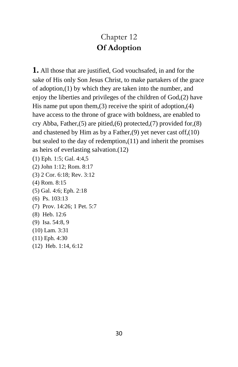# Chapter 12 **Of Adoption**

**1.** All those that are justified, God vouchsafed, in and for the sake of His only Son Jesus Christ, to make partakers of the grace of adoption,(1) by which they are taken into the number, and enjoy the liberties and privileges of the children of God,(2) have His name put upon them, $(3)$  receive the spirit of adoption, $(4)$ have access to the throne of grace with boldness, are enabled to cry Abba, Father, $(5)$  are pitied, $(6)$  protected, $(7)$  provided for, $(8)$ and chastened by Him as by a Father, $(9)$  yet never cast off, $(10)$ but sealed to the day of redemption,(11) and inherit the promises as heirs of everlasting salvation.(12)

- (1) Eph. 1:5; Gal. 4:4,5
- (2) John 1:12; Rom. 8:17
- (3) 2 Cor. 6:18; Rev. 3:12
- (4) Rom. 8:15
- (5) Gal. 4:6; Eph. 2:18
- (6) Ps. 103:13
- (7) Prov. 14:26; 1 Pet. 5:7
- (8) Heb. 12:6
- (9) Isa. 54:8, 9
- (10) Lam. 3:31
- (11) Eph. 4:30
- (12) Heb. 1:14, 6:12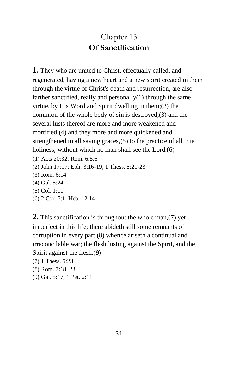### Chapter 13 **Of Sanctification**

**1.** They who are united to Christ, effectually called, and regenerated, having a new heart and a new spirit created in them through the virtue of Christ's death and resurrection, are also farther sanctified, really and personally(1) through the same virtue, by His Word and Spirit dwelling in them;(2) the dominion of the whole body of sin is destroyed,(3) and the several lusts thereof are more and more weakened and mortified,(4) and they more and more quickened and strengthened in all saving graces,(5) to the practice of all true holiness, without which no man shall see the Lord.(6) (1) Acts 20:32; Rom. 6:5,6 (2) John 17:17; Eph. 3:16-19; 1 Thess. 5:21-23 (3) Rom. 6:14 (4) Gal. 5:24 (5) Col. 1:11

(6) 2 Cor. 7:1; Heb. 12:14

**2.** This sanctification is throughout the whole man,(7) yet imperfect in this life; there abideth still some remnants of corruption in every part,(8) whence ariseth a continual and irreconcilable war; the flesh lusting against the Spirit, and the Spirit against the flesh.(9)

- (7) 1 Thess. 5:23 (8) Rom. 7:18, 23
- 
- (9) Gal. 5:17; 1 Pet. 2:11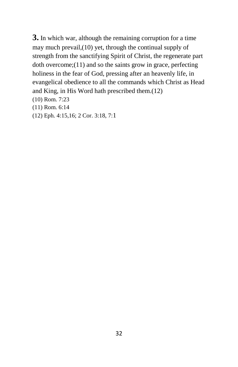**3.** In which war, although the remaining corruption for a time may much prevail,(10) yet, through the continual supply of strength from the sanctifying Spirit of Christ, the regenerate part doth overcome;(11) and so the saints grow in grace, perfecting holiness in the fear of God, pressing after an heavenly life, in evangelical obedience to all the commands which Christ as Head and King, in His Word hath prescribed them.(12)

(10) Rom. 7:23

(11) Rom. 6:14

(12) Eph. 4:15,16; 2 Cor. 3:18, 7:1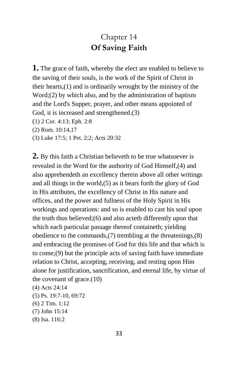### Chapter 14 **Of Saving Faith**

**1.** The grace of faith, whereby the elect are enabled to believe to the saving of their souls, is the work of the Spirit of Christ in their hearts,(1) and is ordinarily wrought by the ministry of the Word;(2) by which also, and by the administration of baptism and the Lord's Supper, prayer, and other means appointed of God, it is increased and strengthened.(3)

- (1) 2 Cor. 4:13; Eph. 2:8
- (2) Rom. 10:14,17
- (3) Luke 17:5; 1 Pet. 2:2; Acts 20:32

**2.** By this faith a Christian believeth to be true whatsoever is revealed in the Word for the authority of God Himself,(4) and also apprehendeth an excellency therein above all other writings and all things in the world,(5) as it bears forth the glory of God in His attributes, the excellency of Christ in His nature and offices, and the power and fullness of the Holy Spirit in His workings and operations: and so is enabled to cast his soul upon the truth thus believed;(6) and also acteth differently upon that which each particular passage thereof containeth; yielding obedience to the commands,(7) trembling at the threatenings,(8) and embracing the promises of God for this life and that which is to come;(9) but the principle acts of saving faith have immediate relation to Christ, accepting, receiving, and resting upon Him alone for justification, sanctification, and eternal life, by virtue of the covenant of grace.(10)

- (4) Acts 24:14
- (5) Ps. 19:7-10, 69:72
- (6) 2 Tim. 1:12
- (7) John 15:14
- (8) Isa. 116:2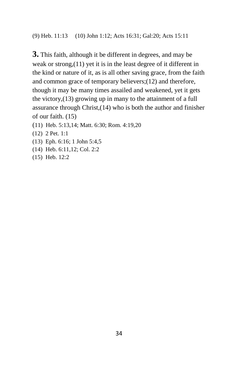(9) Heb. 11:13 (10) John 1:12; Acts 16:31; Gal:20; Acts 15:11

**3.** This faith, although it be different in degrees, and may be weak or strong,(11) yet it is in the least degree of it different in the kind or nature of it, as is all other saving grace, from the faith and common grace of temporary believers;(12) and therefore, though it may be many times assailed and weakened, yet it gets the victory,(13) growing up in many to the attainment of a full assurance through Christ,(14) who is both the author and finisher of our faith. (15)

- (11) Heb. 5:13,14; Matt. 6:30; Rom. 4:19,20
- (12) 2 Pet. 1:1
- (13) Eph. 6:16; 1 John 5:4,5
- (14) Heb. 6:11,12; Col. 2:2
- (15) Heb. 12:2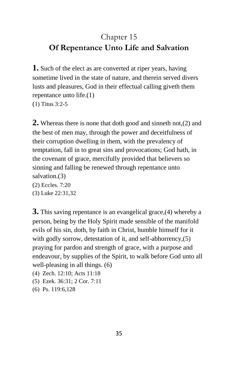# Chapter 15 **Of Repentance Unto Life and Salvation**

**1.** Such of the elect as are converted at riper years, having sometime lived in the state of nature, and therein served divers lusts and pleasures, God in their effectual calling giveth them repentance unto life.(1) (1) Titus 3:2-5

**2.** Whereas there is none that doth good and sinneth not,(2) and the best of men may, through the power and deceitfulness of their corruption dwelling in them, with the prevalency of temptation, fall in to great sins and provocations; God hath, in the covenant of grace, mercifully provided that believers so sinning and falling be renewed through repentance unto salvation.(3)

- (2) Eccles. 7:20
- (3) Luke 22:31,32

**3.** This saving repentance is an evangelical grace,(4) whereby a person, being by the Holy Spirit made sensible of the manifold evils of his sin, doth, by faith in Christ, humble himself for it with godly sorrow, detestation of it, and self-abhorrency,  $(5)$ praying for pardon and strength of grace, with a purpose and endeavour, by supplies of the Spirit, to walk before God unto all well-pleasing in all things. (6)

(4) Zech. 12:10; Acts 11:18

- (5) Ezek. 36:31; 2 Cor. 7:11
- (6) Ps. 119:6,128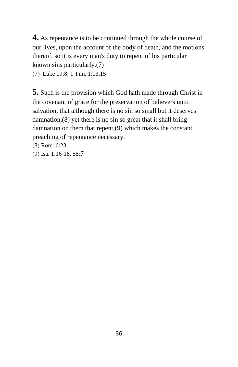**4.** As repentance is to be continued through the whole course of our lives, upon the account of the body of death, and the motions thereof, so it is every man's duty to repent of his particular known sins particularly.(7)

(7) Luke 19:8; 1 Tim. 1:13,15

**5.** Such is the provision which God hath made through Christ in the covenant of grace for the preservation of believers unto salvation, that although there is no sin so small but it deserves damnation,(8) yet there is no sin so great that it shall bring damnation on them that repent,(9) which makes the constant preaching of repentance necessary.

(8) Rom. 6:23

(9) Isa. 1:16-18, 55:7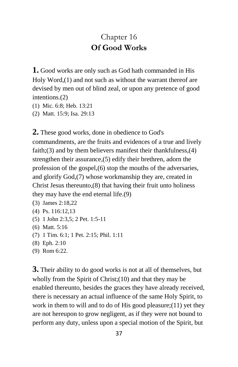### Chapter 16 **Of Good Works**

**1.** Good works are only such as God hath commanded in His Holy Word,(1) and not such as without the warrant thereof are devised by men out of blind zeal, or upon any pretence of good intentions.(2)

- (1) Mic. 6:8; Heb. 13:21
- (2) Matt. 15:9; Isa. 29:13

**2.** These good works, done in obedience to God's commandments, are the fruits and evidences of a true and lively faith;(3) and by them believers manifest their thankfulness,(4) strengthen their assurance,(5) edify their brethren, adorn the profession of the gospel,(6) stop the mouths of the adversaries, and glorify God,(7) whose workmanship they are, created in Christ Jesus thereunto,(8) that having their fruit unto holiness they may have the end eternal life.(9)

- (3) James 2:18,22
- (4) Ps. 116:12,13
- (5) 1 John 2:3,5; 2 Pet. 1:5-11
- (6) Matt. 5:16
- (7) 1 Tim. 6:1; 1 Pet. 2:15; Phil. 1:11
- (8) Eph. 2:10
- (9) Rom 6:22.

**3.** Their ability to do good works is not at all of themselves, but wholly from the Spirit of Christ; (10) and that they may be enabled thereunto, besides the graces they have already received, there is necessary an actual influence of the same Holy Spirit, to work in them to will and to do of His good pleasure; (11) yet they are not hereupon to grow negligent, as if they were not bound to perform any duty, unless upon a special motion of the Spirit, but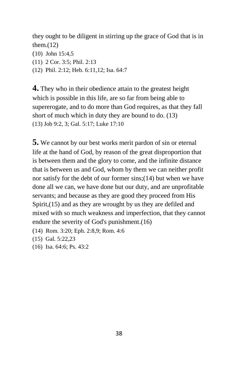they ought to be diligent in stirring up the grace of God that is in them. $(12)$ 

- (10) John 15:4,5
- (11) 2 Cor. 3:5; Phil. 2:13
- (12) Phil. 2:12; Heb. 6:11,12; Isa. 64:7

**4.** They who in their obedience attain to the greatest height which is possible in this life, are so far from being able to supererogate, and to do more than God requires, as that they fall short of much which in duty they are bound to do. (13) (13) Job 9:2, 3; Gal. 5:17; Luke 17:10

**5.** We cannot by our best works merit pardon of sin or eternal life at the hand of God, by reason of the great disproportion that is between them and the glory to come, and the infinite distance that is between us and God, whom by them we can neither profit nor satisfy for the debt of our former sins;(14) but when we have done all we can, we have done but our duty, and are unprofitable servants; and because as they are good they proceed from His Spirit,  $(15)$  and as they are wrought by us they are defiled and mixed with so much weakness and imperfection, that they cannot endure the severity of God's punishment.(16)

- (14) Rom. 3:20; Eph. 2:8,9; Rom. 4:6
- (15) Gal. 5:22,23
- (16) Isa. 64:6; Ps. 43:2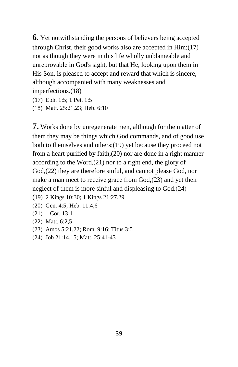**6**. Yet notwithstanding the persons of believers being accepted through Christ, their good works also are accepted in Him;(17) not as though they were in this life wholly unblameable and unreprovable in God's sight, but that He, looking upon them in His Son, is pleased to accept and reward that which is sincere, although accompanied with many weaknesses and imperfections.(18)

- (17) Eph. 1:5; 1 Pet. 1:5
- (18) Matt. 25:21,23; Heb. 6:10

**7.** Works done by unregenerate men, although for the matter of them they may be things which God commands, and of good use both to themselves and others;(19) yet because they proceed not from a heart purified by faith,(20) nor are done in a right manner according to the Word,(21) nor to a right end, the glory of God,(22) they are therefore sinful, and cannot please God, nor make a man meet to receive grace from God,(23) and yet their neglect of them is more sinful and displeasing to God.(24)

- (19) 2 Kings 10:30; 1 Kings 21:27,29
- (20) Gen. 4:5; Heb. 11:4,6
- (21) 1 Cor. 13:1
- (22) Matt. 6:2,5
- (23) Amos 5:21,22; Rom. 9:16; Titus 3:5
- (24) Job 21:14,15; Matt. 25:41-43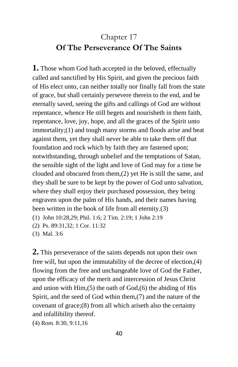### Chapter 17 **Of The Perseverance Of The Saints**

**1.** Those whom God hath accepted in the beloved, effectually called and sanctified by His Spirit, and given the precious faith of His elect unto, can neither totally nor finally fall from the state of grace, but shall certainly persevere therein to the end, and be eternally saved, seeing the gifts and callings of God are without repentance, whence He still begets and nourisheth in them faith, repentance, love, joy, hope, and all the graces of the Spirit unto immortality;(1) and tough many storms and floods arise and beat against them, yet they shall never be able to take them off that foundation and rock which by faith they are fastened upon; notwithstanding, through unbelief and the temptations of Satan, the sensible sight of the light and love of God may for a time be clouded and obscured from them,(2) yet He is still the same, and they shall be sure to be kept by the power of God unto salvation, where they shall enjoy their purchased possession, they being engraven upon the palm of His hands, and their names having been written in the book of life from all eternity.(3) (1) John 10:28,29; Phil. 1:6; 2 Tim. 2:19; 1 John 2:19 (2) Ps. 89:31,32; 1 Cor. 11:32 (3) Mal. 3:6

**2.** This perseverance of the saints depends not upon their own free will, but upon the immutability of the decree of election,(4) flowing from the free and unchangeable love of God the Father, upon the efficacy of the merit and intercession of Jesus Christ and union with Him,(5) the oath of God,(6) the abiding of His Spirit, and the seed of God wthin them,(7) and the nature of the covenant of grace;(8) from all which ariseth also the certainty and infallibility thereof.

(4) Rom. 8:30, 9:11,16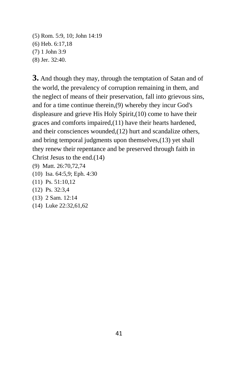(5) Rom. 5:9, 10; John 14:19 (6) Heb. 6:17,18 (7) 1 John 3:9 (8) Jer. 32:40.

**3.** And though they may, through the temptation of Satan and of the world, the prevalency of corruption remaining in them, and the neglect of means of their preservation, fall into grievous sins, and for a time continue therein,(9) whereby they incur God's displeasure and grieve His Holy Spirit,(10) come to have their graces and comforts impaired,(11) have their hearts hardened, and their consciences wounded,(12) hurt and scandalize others, and bring temporal judgments upon themselves,(13) yet shall they renew their repentance and be preserved through faith in Christ Jesus to the end.(14)

- (9) Matt. 26:70,72,74
- (10) Isa. 64:5,9; Eph. 4:30
- (11) Ps. 51:10,12
- (12) Ps. 32:3,4
- (13) 2 Sam. 12:14
- (14) Luke 22:32,61,62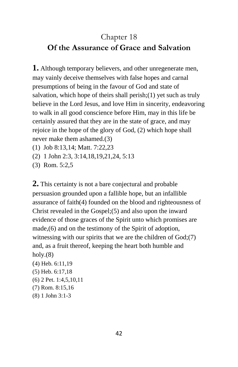#### Chapter 18

### **Of the Assurance of Grace and Salvation**

**1.** Although temporary believers, and other unregenerate men, may vainly deceive themselves with false hopes and carnal presumptions of being in the favour of God and state of salvation, which hope of theirs shall perish;(1) yet such as truly believe in the Lord Jesus, and love Him in sincerity, endeavoring to walk in all good conscience before Him, may in this life be certainly assured that they are in the state of grace, and may rejoice in the hope of the glory of God, (2) which hope shall never make them ashamed.(3)

(1) Job 8:13,14; Matt. 7:22,23

(2) 1 John 2:3, 3:14,18,19,21,24, 5:13

(3) Rom. 5:2,5

**2.** This certainty is not a bare conjectural and probable persuasion grounded upon a fallible hope, but an infallible assurance of faith(4) founded on the blood and righteousness of Christ revealed in the Gospel;(5) and also upon the inward evidence of those graces of the Spirit unto which promises are made,(6) and on the testimony of the Spirit of adoption, witnessing with our spirits that we are the children of God;(7) and, as a fruit thereof, keeping the heart both humble and  $holy.(8)$ 

- (4) Heb. 6:11,19
- (5) Heb. 6:17,18
- (6) 2 Pet. 1:4,5,10,11
- (7) Rom. 8:15,16
- (8) 1 John 3:1-3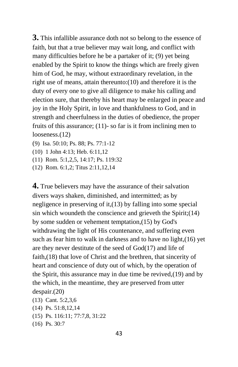**3.** This infallible assurance doth not so belong to the essence of faith, but that a true believer may wait long, and conflict with many difficulties before he be a partaker of it; (9) yet being enabled by the Spirit to know the things which are freely given him of God, he may, without extraordinary revelation, in the right use of means, attain thereunto:(10) and therefore it is the duty of every one to give all diligence to make his calling and election sure, that thereby his heart may be enlarged in peace and joy in the Holy Spirit, in love and thankfulness to God, and in strength and cheerfulness in the duties of obedience, the proper fruits of this assurance; (11)- so far is it from inclining men to looseness.(12)

- (9) Isa. 50:10; Ps. 88; Ps. 77:1-12
- (10) 1 John 4:13; Heb. 6:11,12
- (11) Rom. 5:1,2,5, 14:17; Ps. 119:32
- (12) Rom. 6:1,2; Titus 2:11,12,14

**4.** True believers may have the assurance of their salvation divers ways shaken, diminished, and intermitted; as by negligence in preserving of it,(13) by falling into some special sin which woundeth the conscience and grieveth the Spirit;(14) by some sudden or vehement temptation,(15) by God's withdrawing the light of His countenance, and suffering even such as fear him to walk in darkness and to have no light,(16) yet are they never destitute of the seed of God(17) and life of faith,(18) that love of Christ and the brethren, that sincerity of heart and conscience of duty out of which, by the operation of the Spirit, this assurance may in due time be revived,(19) and by the which, in the meantime, they are preserved from utter despair.(20)

- (13) Cant. 5:2,3,6
- (14) Ps. 51:8,12,14
- (15) Ps. 116:11; 77:7,8, 31:22
- (16) Ps. 30:7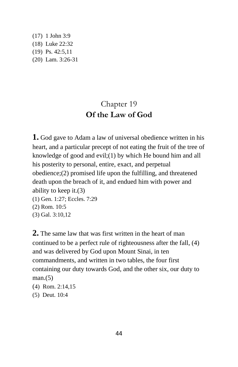(17) 1 John 3:9 (18) Luke 22:32 (19) Ps. 42:5,11 (20) Lam. 3:26-31

## Chapter 19 **Of the Law of God**

**1.** God gave to Adam a law of universal obedience written in his heart, and a particular precept of not eating the fruit of the tree of knowledge of good and evil;(1) by which He bound him and all his posterity to personal, entire, exact, and perpetual obedience;(2) promised life upon the fulfilling, and threatened death upon the breach of it, and endued him with power and ability to keep it.(3)

- (1) Gen. 1:27; Eccles. 7:29
- (2) Rom. 10:5
- (3) Gal. 3:10,12

**2.** The same law that was first written in the heart of man continued to be a perfect rule of righteousness after the fall, (4) and was delivered by God upon Mount Sinai, in ten commandments, and written in two tables, the four first containing our duty towards God, and the other six, our duty to  $man.(5)$ 

- (4) Rom. 2:14,15
- (5) Deut. 10:4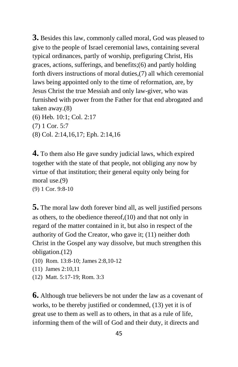**3.** Besides this law, commonly called moral, God was pleased to give to the people of Israel ceremonial laws, containing several typical ordinances, partly of worship, prefiguring Christ, His graces, actions, sufferings, and benefits;(6) and partly holding forth divers instructions of moral duties,(7) all which ceremonial laws being appointed only to the time of reformation, are, by Jesus Christ the true Messiah and only law-giver, who was furnished with power from the Father for that end abrogated and taken away.(8)

(6) Heb. 10:1; Col. 2:17 (7) 1 Cor. 5:7

(8) Col. 2:14,16,17; Eph. 2:14,16

**4.** To them also He gave sundry judicial laws, which expired together with the state of that people, not obliging any now by virtue of that institution; their general equity only being for moral use.(9)

(9) 1 Cor. 9:8-10

**5.** The moral law doth forever bind all, as well justified persons as others, to the obedience thereof,(10) and that not only in regard of the matter contained in it, but also in respect of the authority of God the Creator, who gave it; (11) neither doth Christ in the Gospel any way dissolve, but much strengthen this obligation.(12)

```
(10) Rom. 13:8-10; James 2:8,10-12
```

```
(11) James 2:10,11
```
(12) Matt. 5:17-19; Rom. 3:3

**6.** Although true believers be not under the law as a covenant of works, to be thereby justified or condemned, (13) yet it is of great use to them as well as to others, in that as a rule of life, informing them of the will of God and their duty, it directs and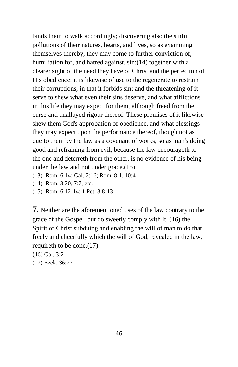binds them to walk accordingly; discovering also the sinful pollutions of their natures, hearts, and lives, so as examining themselves thereby, they may come to further conviction of, humiliation for, and hatred against, sin; (14) together with a clearer sight of the need they have of Christ and the perfection of His obedience: it is likewise of use to the regenerate to restrain their corruptions, in that it forbids sin; and the threatening of it serve to shew what even their sins deserve, and what afflictions in this life they may expect for them, although freed from the curse and unallayed rigour thereof. These promises of it likewise shew them God's approbation of obedience, and what blessings they may expect upon the performance thereof, though not as due to them by the law as a covenant of works; so as man's doing good and refraining from evil, because the law encourageth to the one and deterreth from the other, is no evidence of his being under the law and not under grace.(15)

- (13) Rom. 6:14; Gal. 2:16; Rom. 8:1, 10:4
- (14) Rom. 3:20, 7:7, etc.
- (15) Rom. 6:12-14; 1 Pet. 3:8-13

**7.** Neither are the aforementioned uses of the law contrary to the grace of the Gospel, but do sweetly comply with it, (16) the Spirit of Christ subduing and enabling the will of man to do that freely and cheerfully which the will of God, revealed in the law, requireth to be done.(17)

(16) Gal. 3:21

(17) Ezek. 36:27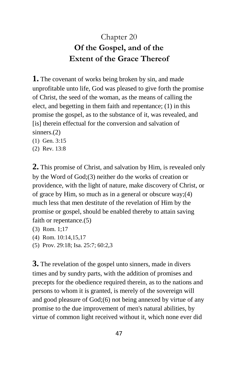# Chapter 20 **Of the Gospel, and of the Extent of the Grace Thereof**

**1.** The covenant of works being broken by sin, and made unprofitable unto life, God was pleased to give forth the promise of Christ, the seed of the woman, as the means of calling the elect, and begetting in them faith and repentance; (1) in this promise the gospel, as to the substance of it, was revealed, and [is] therein effectual for the conversion and salvation of sinners.<sup>(2)</sup>

- (1) Gen. 3:15
- (2) Rev. 13:8

**2.** This promise of Christ, and salvation by Him, is revealed only by the Word of God;(3) neither do the works of creation or providence, with the light of nature, make discovery of Christ, or of grace by Him, so much as in a general or obscure way;(4) much less that men destitute of the revelation of Him by the promise or gospel, should be enabled thereby to attain saving faith or repentance.(5)

- (3) Rom. 1;17
- (4) Rom. 10:14,15,17
- (5) Prov. 29:18; Isa. 25:7; 60:2,3

**3.** The revelation of the gospel unto sinners, made in divers times and by sundry parts, with the addition of promises and precepts for the obedience required therein, as to the nations and persons to whom it is granted, is merely of the sovereign will and good pleasure of God;(6) not being annexed by virtue of any promise to the due improvement of men's natural abilities, by virtue of common light received without it, which none ever did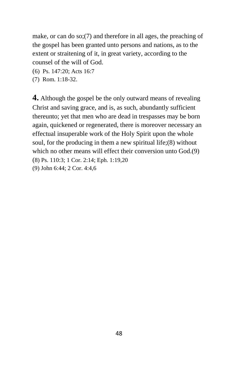make, or can do so;(7) and therefore in all ages, the preaching of the gospel has been granted unto persons and nations, as to the extent or straitening of it, in great variety, according to the counsel of the will of God.

(6) Ps. 147:20; Acts 16:7

(7) Rom. 1:18-32.

**4.** Although the gospel be the only outward means of revealing Christ and saving grace, and is, as such, abundantly sufficient thereunto; yet that men who are dead in trespasses may be born again, quickened or regenerated, there is moreover necessary an effectual insuperable work of the Holy Spirit upon the whole soul, for the producing in them a new spiritual life;(8) without which no other means will effect their conversion unto God.(9) (8) Ps. 110:3; 1 Cor. 2:14; Eph. 1:19,20 (9) John 6:44; 2 Cor. 4:4,6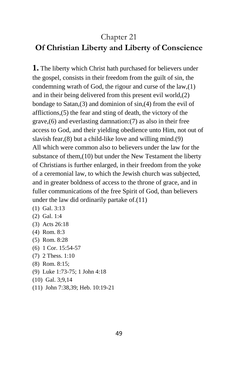#### Chapter 21

### **Of Christian Liberty and Liberty of Conscience**

**1.** The liberty which Christ hath purchased for believers under the gospel, consists in their freedom from the guilt of sin, the condemning wrath of God, the rigour and curse of the law,(1) and in their being delivered from this present evil world,(2) bondage to Satan,(3) and dominion of sin,(4) from the evil of afflictions,(5) the fear and sting of death, the victory of the grave,(6) and everlasting damnation:(7) as also in their free access to God, and their yielding obedience unto Him, not out of slavish fear,(8) but a child-like love and willing mind.(9) All which were common also to believers under the law for the substance of them,(10) but under the New Testament the liberty of Christians is further enlarged, in their freedom from the yoke of a ceremonial law, to which the Jewish church was subjected, and in greater boldness of access to the throne of grace, and in fuller communications of the free Spirit of God, than believers under the law did ordinarily partake of.(11)

- (1) Gal. 3:13
- (2) Gal. 1:4
- (3) Acts 26:18
- (4) Rom. 8:3
- (5) Rom. 8:28
- (6) 1 Cor. 15:54-57
- (7) 2 Thess. 1:10
- (8) Rom. 8:15;
- (9) Luke 1:73-75; 1 John 4:18
- (10) Gal. 3;9,14
- (11) John 7:38,39; Heb. 10:19-21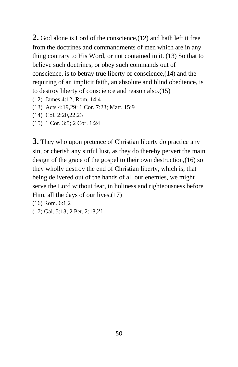**2.** God alone is Lord of the conscience,(12) and hath left it free from the doctrines and commandments of men which are in any thing contrary to His Word, or not contained in it. (13) So that to believe such doctrines, or obey such commands out of conscience, is to betray true liberty of conscience,(14) and the requiring of an implicit faith, an absolute and blind obedience, is to destroy liberty of conscience and reason also.(15)

- (12) James 4:12; Rom. 14:4
- (13) Acts 4:19,29; 1 Cor. 7:23; Matt. 15:9
- (14) Col. 2:20,22,23
- (15) 1 Cor. 3:5; 2 Cor. 1:24

**3.** They who upon pretence of Christian liberty do practice any sin, or cherish any sinful lust, as they do thereby pervert the main design of the grace of the gospel to their own destruction,(16) so they wholly destroy the end of Christian liberty, which is, that being delivered out of the hands of all our enemies, we might serve the Lord without fear, in holiness and righteousness before Him, all the days of our lives.(17)

(16) Rom. 6:1,2

(17) Gal. 5:13; 2 Pet. 2:18,21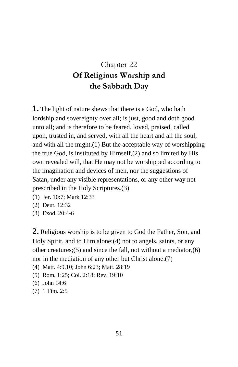# Chapter 22 **Of Religious Worship and the Sabbath Day**

**1.** The light of nature shews that there is a God, who hath lordship and sovereignty over all; is just, good and doth good unto all; and is therefore to be feared, loved, praised, called upon, trusted in, and served, with all the heart and all the soul, and with all the might.(1) But the acceptable way of worshipping the true God, is instituted by Himself,(2) and so limited by His own revealed will, that He may not be worshipped according to the imagination and devices of men, nor the suggestions of Satan, under any visible representations, or any other way not prescribed in the Holy Scriptures.(3)

- (1) Jer. 10:7; Mark 12:33
- (2) Deut. 12:32
- (3) Exod. 20:4-6

**2.** Religious worship is to be given to God the Father, Son, and Holy Spirit, and to Him alone;(4) not to angels, saints, or any other creatures;(5) and since the fall, not without a mediator,(6) nor in the mediation of any other but Christ alone.(7)

- (4) Matt. 4:9,10; John 6:23; Matt. 28:19
- (5) Rom. 1:25; Col. 2:18; Rev. 19:10
- (6) John 14:6
- (7) 1 Tim. 2:5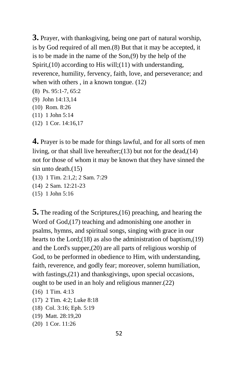**3.** Prayer, with thanksgiving, being one part of natural worship, is by God required of all men.(8) But that it may be accepted, it is to be made in the name of the Son,(9) by the help of the Spirit,(10) according to His will;(11) with understanding, reverence, humility, fervency, faith, love, and perseverance; and when with others , in a known tongue. (12)

- (8) Ps. 95:1-7, 65:2
- (9) John 14:13,14
- (10) Rom. 8:26
- (11) 1 John 5:14
- (12) 1 Cor. 14:16,17

**4.** Prayer is to be made for things lawful, and for all sorts of men living, or that shall live hereafter;(13) but not for the dead,(14) not for those of whom it may be known that they have sinned the sin unto death.(15)

- (13) 1 Tim. 2:1,2; 2 Sam. 7:29
- (14) 2 Sam. 12:21-23
- (15) 1 John 5:16

**5.** The reading of the Scriptures,(16) preaching, and hearing the Word of God,(17) teaching and admonishing one another in psalms, hymns, and spiritual songs, singing with grace in our hearts to the Lord;(18) as also the administration of baptism,(19) and the Lord's supper,(20) are all parts of religious worship of God, to be performed in obedience to Him, with understanding, faith, reverence, and godly fear; moreover, solemn humiliation, with fastings,  $(21)$  and thanksgivings, upon special occasions, ought to be used in an holy and religious manner.(22)

- (16) 1 Tim. 4:13
- (17) 2 Tim. 4:2; Luke 8:18
- (18) Col. 3:16; Eph. 5:19
- (19) Matt. 28:19,20
- (20) 1 Cor. 11:26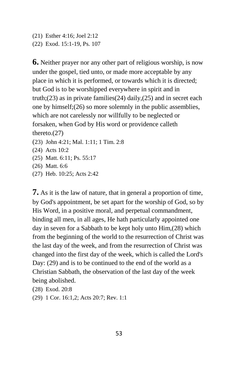(21) Esther 4:16; Joel 2:12 (22) Exod. 15:1-19, Ps. 107

**6.** Neither prayer nor any other part of religious worship, is now under the gospel, tied unto, or made more acceptable by any place in which it is performed, or towards which it is directed; but God is to be worshipped everywhere in spirit and in truth; $(23)$  as in private families $(24)$  daily, $(25)$  and in secret each one by himself;(26) so more solemnly in the public assemblies, which are not carelessly nor willfully to be neglected or forsaken, when God by His word or providence calleth thereto.(27)

- (23) John 4:21; Mal. 1:11; 1 Tim. 2:8
- (24) Acts 10:2
- (25) Matt. 6:11; Ps. 55:17
- (26) Matt. 6:6
- (27) Heb. 10:25; Acts 2:42

**7.** As it is the law of nature, that in general a proportion of time, by God's appointment, be set apart for the worship of God, so by His Word, in a positive moral, and perpetual commandment, binding all men, in all ages, He hath particularly appointed one day in seven for a Sabbath to be kept holy unto Him,(28) which from the beginning of the world to the resurrection of Christ was the last day of the week, and from the resurrection of Christ was changed into the first day of the week, which is called the Lord's Day: (29) and is to be continued to the end of the world as a Christian Sabbath, the observation of the last day of the week being abolished.

(28) Exod. 20:8

(29) 1 Cor. 16:1,2; Acts 20:7; Rev. 1:1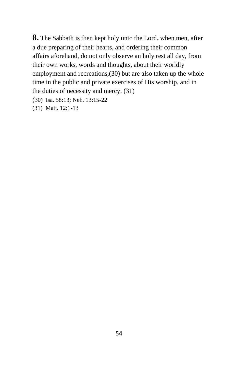**8.** The Sabbath is then kept holy unto the Lord, when men, after a due preparing of their hearts, and ordering their common affairs aforehand, do not only observe an holy rest all day, from their own works, words and thoughts, about their worldly employment and recreations,(30) but are also taken up the whole time in the public and private exercises of His worship, and in the duties of necessity and mercy. (31)

(30) Isa. 58:13; Neh. 13:15-22

(31) Matt. 12:1-13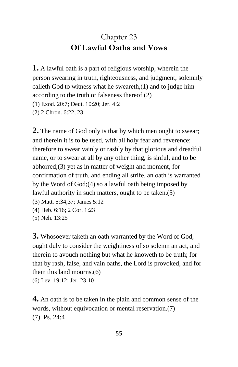## Chapter 23 **Of Lawful Oaths and Vows**

**1.** A lawful oath is a part of religious worship, wherein the person swearing in truth, righteousness, and judgment, solemnly calleth God to witness what he sweareth,(1) and to judge him according to the truth or falseness thereof (2) (1) Exod. 20:7; Deut. 10:20; Jer. 4:2 (2) 2 Chron. 6:22, 23

**2.** The name of God only is that by which men ought to swear; and therein it is to be used, with all holy fear and reverence; therefore to swear vainly or rashly by that glorious and dreadful name, or to swear at all by any other thing, is sinful, and to be abhorred;(3) yet as in matter of weight and moment, for confirmation of truth, and ending all strife, an oath is warranted by the Word of God;(4) so a lawful oath being imposed by lawful authority in such matters, ought to be taken.(5)

(3) Matt. 5:34,37; James 5:12 (4) Heb. 6:16; 2 Cor. 1:23 (5) Neh. 13:25

**3.** Whosoever taketh an oath warranted by the Word of God, ought duly to consider the weightiness of so solemn an act, and therein to avouch nothing but what he knoweth to be truth; for that by rash, false, and vain oaths, the Lord is provoked, and for them this land mourns.(6) (6) Lev. 19:12; Jer. 23:10

**4.** An oath is to be taken in the plain and common sense of the words, without equivocation or mental reservation.(7) (7) Ps. 24:4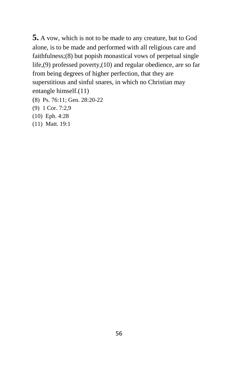**5.** A vow, which is not to be made to any creature, but to God alone, is to be made and performed with all religious care and faithfulness;(8) but popish monastical vows of perpetual single life,(9) professed poverty,(10) and regular obedience, are so far from being degrees of higher perfection, that they are superstitious and sinful snares, in which no Christian may entangle himself.(11)

- (8) Ps. 76:11; Gen. 28:20-22
- (9) 1 Cor. 7:2,9
- (10) Eph. 4:28
- (11) Matt. 19:1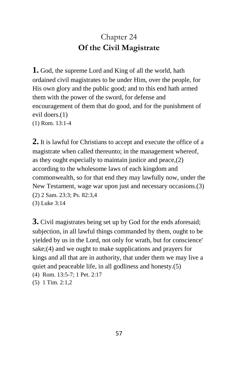## Chapter 24 **Of the Civil Magistrate**

**1.** God, the supreme Lord and King of all the world, hath ordained civil magistrates to be under Him, over the people, for His own glory and the public good; and to this end hath armed them with the power of the sword, for defense and encouragement of them that do good, and for the punishment of evil doers.(1) (1) Rom. 13:1-4

**2.** It is lawful for Christians to accept and execute the office of a magistrate when called thereunto; in the management whereof, as they ought especially to maintain justice and peace,(2) according to the wholesome laws of each kingdom and commonwealth, so for that end they may lawfully now, under the New Testament, wage war upon just and necessary occasions.(3) (2) 2 Sam. 23:3; Ps. 82:3,4 (3) Luke 3:14

**3.** Civil magistrates being set up by God for the ends aforesaid; subjection, in all lawful things commanded by them, ought to be yielded by us in the Lord, not only for wrath, but for conscience' sake;(4) and we ought to make supplications and prayers for kings and all that are in authority, that under them we may live a quiet and peaceable life, in all godliness and honesty.(5) (4) Rom. 13:5-7; 1 Pet. 2:17 (5) 1 Tim. 2:1,2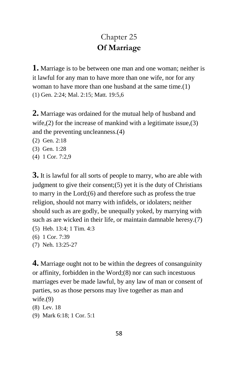# Chapter 25 **Of Marriage**

**1.** Marriage is to be between one man and one woman; neither is it lawful for any man to have more than one wife, nor for any woman to have more than one husband at the same time.(1) (1) Gen. 2:24; Mal. 2:15; Matt. 19:5,6

**2.** Marriage was ordained for the mutual help of husband and wife, (2) for the increase of mankind with a legitimate issue, (3) and the preventing uncleanness.(4)

- (2) Gen. 2:18
- (3) Gen. 1:28
- (4) 1 Cor. 7:2,9

**3.** It is lawful for all sorts of people to marry, who are able with judgment to give their consent;(5) yet it is the duty of Christians to marry in the Lord;(6) and therefore such as profess the true religion, should not marry with infidels, or idolaters; neither should such as are godly, be unequally yoked, by marrying with such as are wicked in their life, or maintain damnable heresy.(7)

- (5) Heb. 13:4; 1 Tim. 4:3
- (6) 1 Cor. 7:39
- (7) Neh. 13:25-27

**4.** Marriage ought not to be within the degrees of consanguinity or affinity, forbidden in the Word;(8) nor can such incestuous marriages ever be made lawful, by any law of man or consent of parties, so as those persons may live together as man and wife. $(9)$ 

- (8) Lev. 18
- (9) Mark 6:18; 1 Cor. 5:1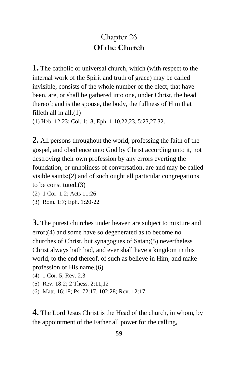## Chapter 26 **Of the Church**

**1.** The catholic or universal church, which (with respect to the internal work of the Spirit and truth of grace) may be called invisible, consists of the whole number of the elect, that have been, are, or shall be gathered into one, under Christ, the head thereof; and is the spouse, the body, the fullness of Him that filleth all in all.(1)

(1) Heb. 12:23; Col. 1:18; Eph. 1:10,22,23, 5:23,27,32.

**2.** All persons throughout the world, professing the faith of the gospel, and obedience unto God by Christ according unto it, not destroying their own profession by any errors everting the foundation, or unholiness of conversation, are and may be called visible saints;(2) and of such ought all particular congregations to be constituted.(3)

- (2) 1 Cor. 1:2; Acts 11:26
- (3) Rom. 1:7; Eph. 1:20-22

**3.** The purest churches under heaven are subject to mixture and error;(4) and some have so degenerated as to become no churches of Christ, but synagogues of Satan;(5) nevertheless Christ always hath had, and ever shall have a kingdom in this world, to the end thereof, of such as believe in Him, and make profession of His name.(6)

- (4) 1 Cor. 5; Rev. 2,3
- (5) Rev. 18:2; 2 Thess. 2:11,12
- (6) Matt. 16:18; Ps. 72:17, 102:28; Rev. 12:17

**4.** The Lord Jesus Christ is the Head of the church, in whom, by the appointment of the Father all power for the calling,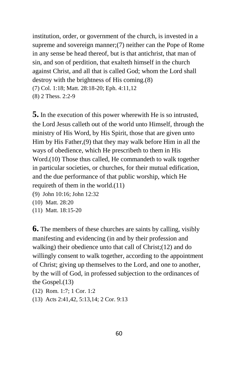institution, order, or government of the church, is invested in a supreme and sovereign manner; (7) neither can the Pope of Rome in any sense be head thereof, but is that antichrist, that man of sin, and son of perdition, that exalteth himself in the church against Christ, and all that is called God; whom the Lord shall destroy with the brightness of His coming.(8) (7) Col. 1:18; Matt. 28:18-20; Eph. 4:11,12 (8) 2 Thess. 2:2-9

**5.** In the execution of this power wherewith He is so intrusted, the Lord Jesus calleth out of the world unto Himself, through the ministry of His Word, by His Spirit, those that are given unto Him by His Father,(9) that they may walk before Him in all the ways of obedience, which He prescribeth to them in His Word.(10) Those thus called, He commandeth to walk together in particular societies, or churches, for their mutual edification, and the due performance of that public worship, which He requireth of them in the world.(11)

- (9) John 10:16; John 12:32
- (10) Matt. 28:20
- (11) Matt. 18:15-20

**6.** The members of these churches are saints by calling, visibly manifesting and evidencing (in and by their profession and walking) their obedience unto that call of Christ;(12) and do willingly consent to walk together, according to the appointment of Christ; giving up themselves to the Lord, and one to another, by the will of God, in professed subjection to the ordinances of the Gospel.(13)

- (12) Rom. 1:7; 1 Cor. 1:2
- (13) Acts 2:41,42, 5:13,14; 2 Cor. 9:13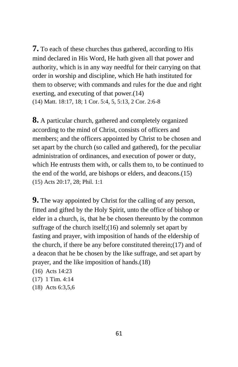**7.** To each of these churches thus gathered, according to His mind declared in His Word, He hath given all that power and authority, which is in any way needful for their carrying on that order in worship and discipline, which He hath instituted for them to observe; with commands and rules for the due and right exerting, and executing of that power.(14) (14) Matt. 18:17, 18; 1 Cor. 5:4, 5, 5:13, 2 Cor. 2:6-8

**8.** A particular church, gathered and completely organized according to the mind of Christ, consists of officers and members; and the officers appointed by Christ to be chosen and set apart by the church (so called and gathered), for the peculiar administration of ordinances, and execution of power or duty, which He entrusts them with, or calls them to, to be continued to the end of the world, are bishops or elders, and deacons.(15) (15) Acts 20:17, 28; Phil. 1:1

**9.** The way appointed by Christ for the calling of any person, fitted and gifted by the Holy Spirit, unto the office of bishop or elder in a church, is, that he be chosen thereunto by the common suffrage of the church itself; (16) and solemnly set apart by fasting and prayer, with imposition of hands of the eldership of the church, if there be any before constituted therein;(17) and of a deacon that he be chosen by the like suffrage, and set apart by prayer, and the like imposition of hands.(18)

- (16) Acts 14:23
- (17) 1 Tim. 4:14
- (18) Acts 6:3,5,6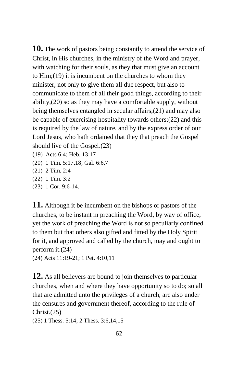**10.** The work of pastors being constantly to attend the service of Christ, in His churches, in the ministry of the Word and prayer, with watching for their souls, as they that must give an account to Him;(19) it is incumbent on the churches to whom they minister, not only to give them all due respect, but also to communicate to them of all their good things, according to their ability,(20) so as they may have a comfortable supply, without being themselves entangled in secular affairs;(21) and may also be capable of exercising hospitality towards others;(22) and this is required by the law of nature, and by the express order of our Lord Jesus, who hath ordained that they that preach the Gospel should live of the Gospel.(23)

- (19) Acts 6:4; Heb. 13:17
- (20) 1 Tim. 5:17,18; Gal. 6:6,7
- (21) 2 Tim. 2:4
- (22) 1 Tim. 3:2
- (23) 1 Cor. 9:6-14.

**11.** Although it be incumbent on the bishops or pastors of the churches, to be instant in preaching the Word, by way of office, yet the work of preaching the Word is not so peculiarly confined to them but that others also gifted and fitted by the Holy Spirit for it, and approved and called by the church, may and ought to perform it.(24)

(24) Acts 11:19-21; 1 Pet. 4:10,11

**12.** As all believers are bound to join themselves to particular churches, when and where they have opportunity so to do; so all that are admitted unto the privileges of a church, are also under the censures and government thereof, according to the rule of Christ.(25)

(25) 1 Thess. 5:14; 2 Thess. 3:6,14,15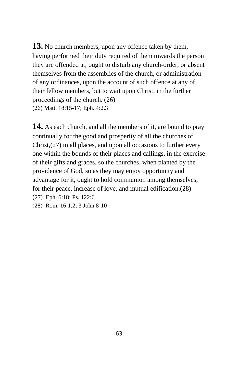**13.** No church members, upon any offence taken by them, having performed their duty required of them towards the person they are offended at, ought to disturb any church-order, or absent themselves from the assemblies of the church, or administration of any ordinances, upon the account of such offence at any of their fellow members, but to wait upon Christ, in the further proceedings of the church. (26) (26) Matt. 18:15-17; Eph. 4:2,3

**14.** As each church, and all the members of it, are bound to pray continually for the good and prosperity of all the churches of Christ,(27) in all places, and upon all occasions to further every one within the bounds of their places and callings, in the exercise of their gifts and graces, so the churches, when planted by the providence of God, so as they may enjoy opportunity and advantage for it, ought to hold communion among themselves, for their peace, increase of love, and mutual edification.(28)

- (27) Eph. 6:18; Ps. 122:6
- (28) Rom. 16:1,2; 3 John 8-10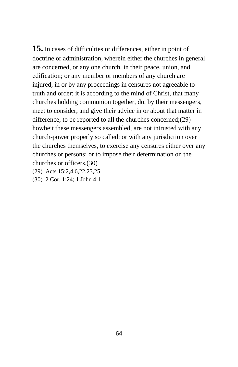**15.** In cases of difficulties or differences, either in point of doctrine or administration, wherein either the churches in general are concerned, or any one church, in their peace, union, and edification; or any member or members of any church are injured, in or by any proceedings in censures not agreeable to truth and order: it is according to the mind of Christ, that many churches holding communion together, do, by their messengers, meet to consider, and give their advice in or about that matter in difference, to be reported to all the churches concerned;(29) howbeit these messengers assembled, are not intrusted with any church-power properly so called; or with any jurisdiction over the churches themselves, to exercise any censures either over any churches or persons; or to impose their determination on the churches or officers.(30)

(29) Acts 15:2,4,6,22,23,25 (30) 2 Cor. 1:24; 1 John 4:1

64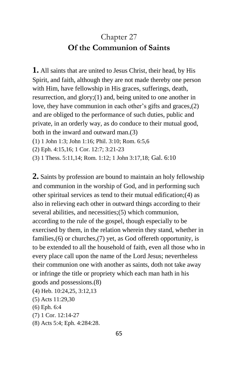### Chapter 27 **Of the Communion of Saints**

**1.** All saints that are united to Jesus Christ, their head, by His Spirit, and faith, although they are not made thereby one person with Him, have fellowship in His graces, sufferings, death, resurrection, and glory;(1) and, being united to one another in love, they have communion in each other's gifts and graces,(2) and are obliged to the performance of such duties, public and private, in an orderly way, as do conduce to their mutual good, both in the inward and outward man.(3)

(1) 1 John 1:3; John 1:16; Phil. 3:10; Rom. 6:5,6

(2) Eph. 4:15,16; 1 Cor. 12:7; 3:21-23

(3) 1 Thess. 5:11,14; Rom. 1:12; 1 John 3:17,18; Gal. 6:10

**2.** Saints by profession are bound to maintain an holy fellowship and communion in the worship of God, and in performing such other spiritual services as tend to their mutual edification;(4) as also in relieving each other in outward things according to their several abilities, and necessities;(5) which communion, according to the rule of the gospel, though especially to be exercised by them, in the relation wherein they stand, whether in families,(6) or churches,(7) yet, as God offereth opportunity, is to be extended to all the household of faith, even all those who in every place call upon the name of the Lord Jesus; nevertheless their communion one with another as saints, doth not take away or infringe the title or propriety which each man hath in his goods and possessions.(8)

- (4) Heb. 10:24,25, 3:12,13
- (5) Acts 11:29,30
- (6) Eph. 6:4
- (7) 1 Cor. 12:14-27
- (8) Acts 5:4; Eph. 4:284:28.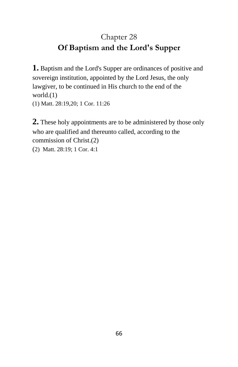## Chapter 28 **Of Baptism and the Lord's Supper**

**1.** Baptism and the Lord's Supper are ordinances of positive and sovereign institution, appointed by the Lord Jesus, the only lawgiver, to be continued in His church to the end of the world.(1) (1) Matt. 28:19,20; 1 Cor. 11:26

**2.** These holy appointments are to be administered by those only who are qualified and thereunto called, according to the commission of Christ.(2)

(2) Matt. 28:19; 1 Cor. 4:1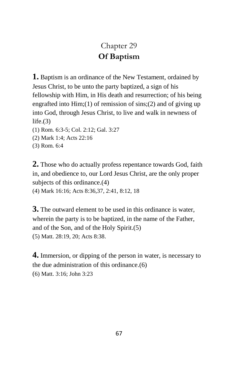## Chapter 29 **Of Baptism**

**1.** Baptism is an ordinance of the New Testament, ordained by Jesus Christ, to be unto the party baptized, a sign of his fellowship with Him, in His death and resurrection; of his being engrafted into  $\text{Him}$ ;(1) of remission of sins;(2) and of giving up into God, through Jesus Christ, to live and walk in newness of life. $(3)$ (1) Rom. 6:3-5; Col. 2:12; Gal. 3:27 (2) Mark 1:4; Acts 22:16

(3) Rom. 6:4

**2.** Those who do actually profess repentance towards God, faith in, and obedience to, our Lord Jesus Christ, are the only proper subjects of this ordinance.(4) (4) Mark 16:16; Acts 8:36,37, 2:41, 8:12, 18

**3.** The outward element to be used in this ordinance is water, wherein the party is to be baptized, in the name of the Father, and of the Son, and of the Holy Spirit.(5) (5) Matt. 28:19, 20; Acts 8:38.

**4.** Immersion, or dipping of the person in water, is necessary to the due administration of this ordinance.(6) (6) Matt. 3:16; John 3:23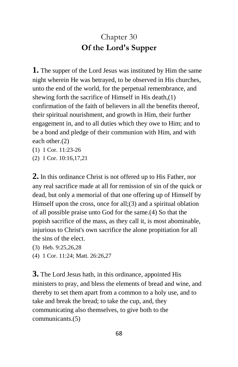## Chapter 30 **Of the Lord's Supper**

**1.** The supper of the Lord Jesus was instituted by Him the same night wherein He was betrayed, to be observed in His churches, unto the end of the world, for the perpetual remembrance, and shewing forth the sacrifice of Himself in His death,(1) confirmation of the faith of believers in all the benefits thereof, their spiritual nourishment, and growth in Him, their further engagement in, and to all duties which they owe to Him; and to be a bond and pledge of their communion with Him, and with each other.(2)

(1) 1 Cor. 11:23-26

(2) 1 Cor. 10:16,17,21

**2.** In this ordinance Christ is not offered up to His Father, nor any real sacrifice made at all for remission of sin of the quick or dead, but only a memorial of that one offering up of Himself by Himself upon the cross, once for all;(3) and a spiritual oblation of all possible praise unto God for the same.(4) So that the popish sacrifice of the mass, as they call it, is most abominable, injurious to Christ's own sacrifice the alone propitiation for all the sins of the elect.

(3) Heb. 9:25,26,28

(4) 1 Cor. 11:24; Matt. 26:26,27

**3.** The Lord Jesus hath, in this ordinance, appointed His ministers to pray, and bless the elements of bread and wine, and thereby to set them apart from a common to a holy use, and to take and break the bread; to take the cup, and, they communicating also themselves, to give both to the communicants.(5)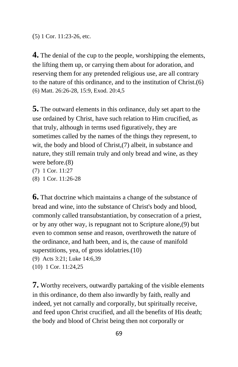(5) 1 Cor. 11:23-26, etc.

**4.** The denial of the cup to the people, worshipping the elements, the lifting them up, or carrying them about for adoration, and reserving them for any pretended religious use, are all contrary to the nature of this ordinance, and to the institution of Christ.(6) (6) Matt. 26:26-28, 15:9, Exod. 20:4,5

**5.** The outward elements in this ordinance, duly set apart to the use ordained by Christ, have such relation to Him crucified, as that truly, although in terms used figuratively, they are sometimes called by the names of the things they represent, to wit, the body and blood of Christ,(7) albeit, in substance and nature, they still remain truly and only bread and wine, as they were before.(8)

- (7) 1 Cor. 11:27
- (8) 1 Cor. 11:26-28

**6.** That doctrine which maintains a change of the substance of bread and wine, into the substance of Christ's body and blood, commonly called transubstantiation, by consecration of a priest, or by any other way, is repugnant not to Scripture alone,(9) but even to common sense and reason, overthroweth the nature of the ordinance, and hath been, and is, the cause of manifold superstitions, yea, of gross idolatries.(10) (9) Acts 3:21; Luke 14:6,39

(10) 1 Cor. 11:24,25

**7.** Worthy receivers, outwardly partaking of the visible elements in this ordinance, do them also inwardly by faith, really and indeed, yet not carnally and corporally, but spiritually receive, and feed upon Christ crucified, and all the benefits of His death; the body and blood of Christ being then not corporally or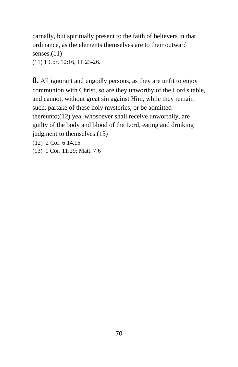carnally, but spiritually present to the faith of believers in that ordinance, as the elements themselves are to their outward senses. $(11)$ (11) 1 Cor. 10:16, 11:23-26.

**8.** All ignorant and ungodly persons, as they are unfit to enjoy communion with Christ, so are they unworthy of the Lord's table, and cannot, without great sin against Him, while they remain such, partake of these holy mysteries, or be admitted thereunto;(12) yea, whosoever shall receive unworthily, are guilty of the body and blood of the Lord, eating and drinking judgment to themselves.(13)

(12) 2 Cor. 6:14,15

(13) 1 Cor. 11:29; Matt. 7:6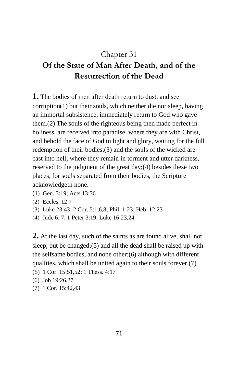#### Chapter 31

# **Of the State of Man After Death, and of the Resurrection of the Dead**

**1.** The bodies of men after death return to dust, and see corruption(1) but their souls, which neither die nor sleep, having an immortal subsistence, immediately return to God who gave them.(2) The souls of the righteous being then made perfect in holiness, are received into paradise, where they are with Christ, and behold the face of God in light and glory, waiting for the full redemption of their bodies;(3) and the souls of the wicked are cast into hell; where they remain in torment and utter darkness, reserved to the judgment of the great day;(4) besides these two places, for souls separated from their bodies, the Scripture acknowledgeth none.

- (1) Gen. 3:19; Acts 13:36
- (2) Eccles. 12:7
- (3) Luke 23:43; 2 Cor. 5:1,6,8; Phil. 1:23; Heb. 12:23
- (4) Jude 6, 7; 1 Peter 3:19; Luke 16:23,24

**2.** At the last day, such of the saints as are found alive, shall not sleep, but be changed;(5) and all the dead shall be raised up with the selfsame bodies, and none other;(6) although with different qualities, which shall be united again to their souls forever.(7)

- (5) 1 Cor. 15:51,52; 1 Thess. 4:17
- (6) Job 19:26,27
- (7) 1 Cor. 15:42,43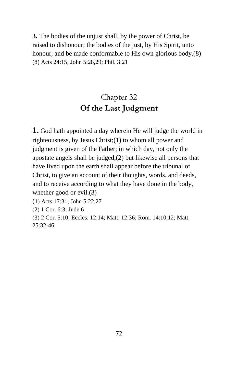**3.** The bodies of the unjust shall, by the power of Christ, be raised to dishonour; the bodies of the just, by His Spirit, unto honour, and be made conformable to His own glorious body.(8) (8) Acts 24:15; John 5:28,29; Phil. 3:21

## Chapter 32 **Of the Last Judgment**

**1.** God hath appointed a day wherein He will judge the world in righteousness, by Jesus Christ;(1) to whom all power and judgment is given of the Father; in which day, not only the apostate angels shall be judged,(2) but likewise all persons that have lived upon the earth shall appear before the tribunal of Christ, to give an account of their thoughts, words, and deeds, and to receive according to what they have done in the body, whether good or evil.(3)

(1) Acts 17:31; John 5:22,27 (2) 1 Cor. 6:3; Jude 6 (3) 2 Cor. 5:10; Eccles. 12:14; Matt. 12:36; Rom. 14:10,12; Matt. 25:32-46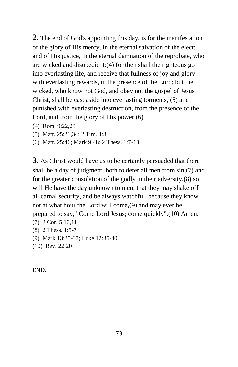**2.** The end of God's appointing this day, is for the manifestation of the glory of His mercy, in the eternal salvation of the elect; and of His justice, in the eternal damnation of the reprobate, who are wicked and disobedient:(4) for then shall the righteous go into everlasting life, and receive that fullness of joy and glory with everlasting rewards, in the presence of the Lord; but the wicked, who know not God, and obey not the gospel of Jesus Christ, shall be cast aside into everlasting torments, (5) and punished with everlasting destruction, from the presence of the Lord, and from the glory of His power.(6)

- (4) Rom. 9:22,23
- (5) Matt. 25:21,34; 2 Tim. 4:8
- (6) Matt. 25:46; Mark 9:48; 2 Thess. 1:7-10

**3.** As Christ would have us to be certainly persuaded that there shall be a day of judgment, both to deter all men from sin,(7) and for the greater consolation of the godly in their adversity,(8) so will He have the day unknown to men, that they may shake off all carnal security, and be always watchful, because they know not at what hour the Lord will come,(9) and may ever be prepared to say, "Come Lord Jesus; come quickly".(10) Amen.

- (7) 2 Cor. 5:10,11
- (8) 2 Thess. 1:5-7
- (9) Mark 13:35-37; Luke 12:35-40
- (10) Rev. 22:20

END.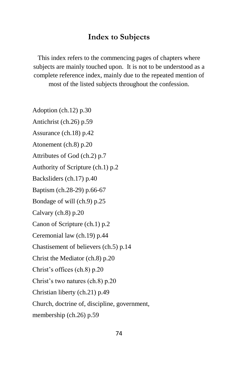### **Index to Subjects**

This index refers to the commencing pages of chapters where subjects are mainly touched upon. It is not to be understood as a complete reference index, mainly due to the repeated mention of most of the listed subjects throughout the confession.

Adoption (ch.12) p.30 Antichrist (ch.26) p.59 Assurance (ch.18) p.42 Atonement (ch.8) p.20 Attributes of God (ch.2) p.7 Authority of Scripture (ch.1) p.2 Backsliders (ch.17) p.40 Baptism (ch.28-29) p.66-67 Bondage of will (ch.9) p.25 Calvary (ch.8) p.20 Canon of Scripture (ch.1) p.2 Ceremonial law (ch.19) p.44 Chastisement of believers (ch.5) p.14 Christ the Mediator (ch.8) p.20 Christ's offices (ch.8) p.20 Christ's two natures (ch.8) p.20 Christian liberty (ch.21) p.49 Church, doctrine of, discipline, government, membership (ch.26) p.59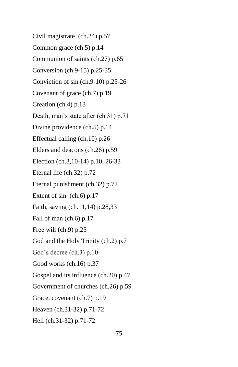Civil magistrate (ch.24) p.57 Common grace (ch.5) p.14 Communion of saints (ch.27) p.65 Conversion (ch.9-15) p.25-35 Conviction of sin (ch.9-10) p.25-26 Covenant of grace (ch.7) p.19 Creation (ch.4) p.13 Death, man's state after (ch.31) p.71 Divine providence (ch.5) p.14 Effectual calling (ch.10) p.26 Elders and deacons (ch.26) p.59 Election (ch.3,10-14) p.10, 26-33 Eternal life (ch.32) p.72 Eternal punishment (ch.32) p.72 Extent of sin (ch.6) p.17 Faith, saving (ch.11,14) p.28,33 Fall of man (ch.6) p.17 Free will (ch.9) p.25 God and the Holy Trinity (ch.2) p.7 God's decree (ch.3) p.10 Good works (ch.16) p.37 Gospel and its influence (ch.20) p.47 Government of churches (ch.26) p.59 Grace, covenant (ch.7) p.19 Heaven (ch.31-32) p.71-72 Hell (ch.31-32) p.71-72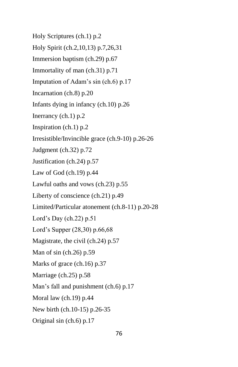Holy Scriptures (ch.1) p.2 Holy Spirit (ch.2,10,13) p.7,26,31 Immersion baptism (ch.29) p.67 Immortality of man (ch.31) p.71 Imputation of Adam's sin (ch.6) p.17 Incarnation (ch.8) p.20 Infants dying in infancy (ch.10) p.26 Inerrancy (ch.1) p.2 Inspiration (ch.1) p.2 Irresistible/Invincible grace (ch.9-10) p.26-26 Judgment (ch.32) p.72 Justification (ch.24) p.57 Law of God (ch.19) p.44 Lawful oaths and vows (ch.23) p.55 Liberty of conscience (ch.21) p.49 Limited/Particular atonement (ch.8-11) p.20-28 Lord's Day (ch.22) p.51 Lord's Supper (28,30) p.66,68 Magistrate, the civil (ch.24) p.57 Man of sin (ch.26) p.59 Marks of grace (ch.16) p.37 Marriage (ch.25) p.58 Man's fall and punishment (ch.6) p.17 Moral law (ch.19) p.44 New birth (ch.10-15) p.26-35 Original sin (ch.6) p.17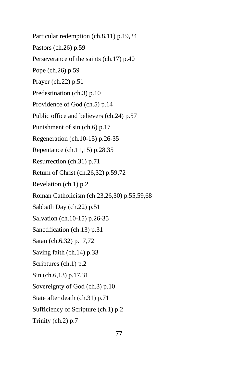Particular redemption (ch.8,11) p.19,24 Pastors (ch.26) p.59 Perseverance of the saints (ch.17) p.40 Pope (ch.26) p.59 Prayer (ch.22) p.51 Predestination (ch.3) p.10 Providence of God (ch.5) p.14 Public office and believers (ch.24) p.57 Punishment of sin (ch.6) p.17 Regeneration (ch.10-15) p.26-35 Repentance (ch.11,15) p.28,35 Resurrection (ch.31) p.71 Return of Christ (ch.26,32) p.59,72 Revelation (ch.1) p.2 Roman Catholicism (ch.23,26,30) p.55,59,68 Sabbath Day (ch.22) p.51 Salvation (ch.10-15) p.26-35 Sanctification (ch.13) p.31 Satan (ch.6,32) p.17,72 Saving faith (ch.14) p.33 Scriptures (ch.1) p.2 Sin (ch.6,13) p.17,31 Sovereignty of God (ch.3) p.10 State after death (ch.31) p.71 Sufficiency of Scripture (ch.1) p.2 Trinity (ch.2) p.7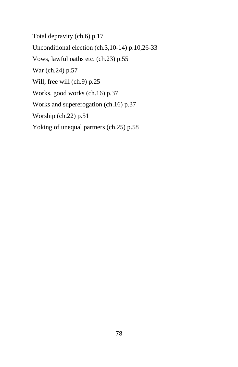Total depravity (ch.6) p.17 Unconditional election (ch.3,10-14) p.10,26-33 Vows, lawful oaths etc. (ch.23) p.55 War (ch.24) p.57 Will, free will (ch.9) p.25 Works, good works (ch.16) p.37 Works and supererogation (ch.16) p.37 Worship (ch.22) p.51 Yoking of unequal partners (ch.25) p.58